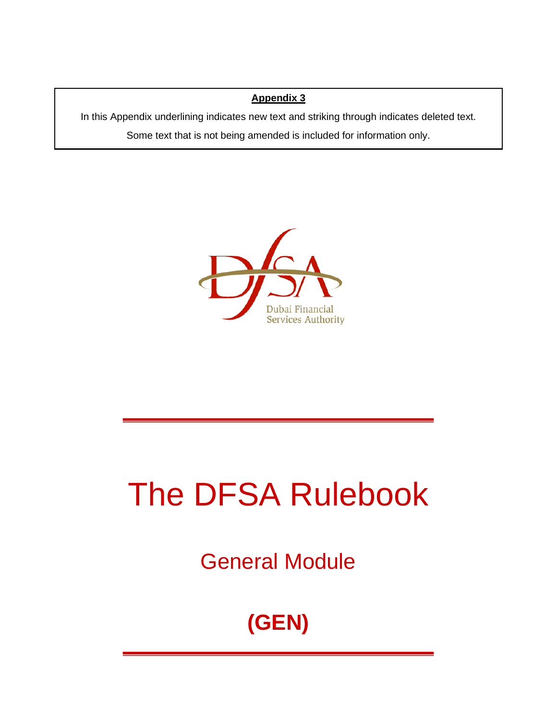### **Appendix 3**

In this Appendix underlining indicates new text and striking through indicates deleted text.

Some text that is not being amended is included for information only.



# The DFSA Rulebook

General Module

## **(GEN)**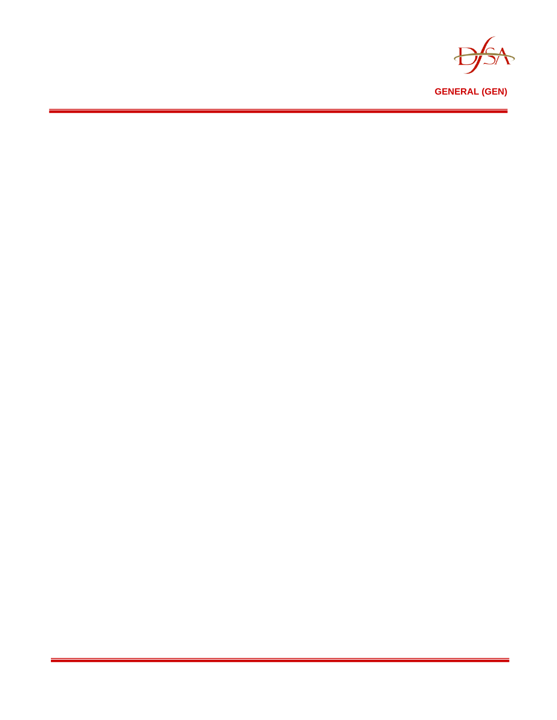

**GENERAL (GEN)**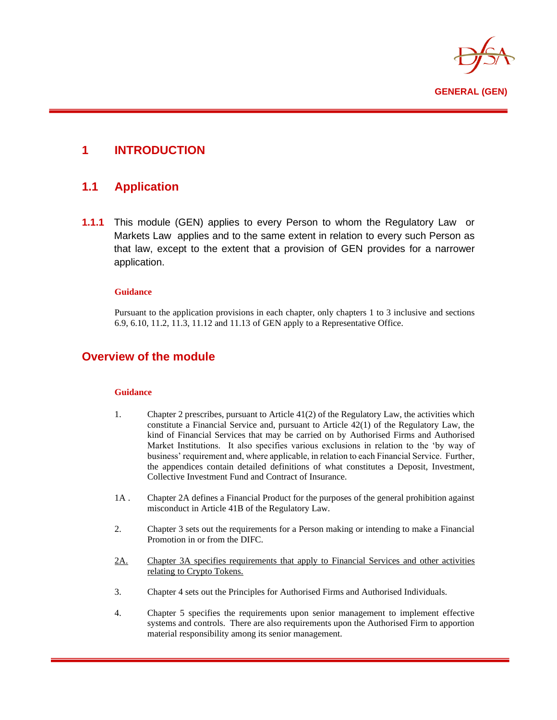

### **1 INTRODUCTION**

### **1.1 Application**

**1.1.1** This module (GEN) applies to every Person to whom the Regulatory Law or Markets Law applies and to the same extent in relation to every such Person as that law, except to the extent that a provision of GEN provides for a narrower application.

### **Guidance**

Pursuant to the application provisions in each chapter, only chapters 1 to 3 inclusive and sections 6.9, 6.10, 11.2, 11.3, 11.12 and 11.13 of GEN apply to a Representative Office.

### **Overview of the module**

#### **Guidance**

- 1. Chapter 2 prescribes, pursuant to Article 41(2) of the Regulatory Law, the activities which constitute a Financial Service and, pursuant to Article 42(1) of the Regulatory Law, the kind of Financial Services that may be carried on by Authorised Firms and Authorised Market Institutions. It also specifies various exclusions in relation to the 'by way of business' requirement and, where applicable, in relation to each Financial Service. Further, the appendices contain detailed definitions of what constitutes a Deposit, Investment, Collective Investment Fund and Contract of Insurance.
- 1A . Chapter 2A defines a Financial Product for the purposes of the general prohibition against misconduct in Article 41B of the Regulatory Law.
- 2. Chapter 3 sets out the requirements for a Person making or intending to make a Financial Promotion in or from the DIFC.
- 2A. Chapter 3A specifies requirements that apply to Financial Services and other activities relating to Crypto Tokens.
- 3. Chapter 4 sets out the Principles for Authorised Firms and Authorised Individuals.
- 4. Chapter 5 specifies the requirements upon senior management to implement effective systems and controls. There are also requirements upon the Authorised Firm to apportion material responsibility among its senior management.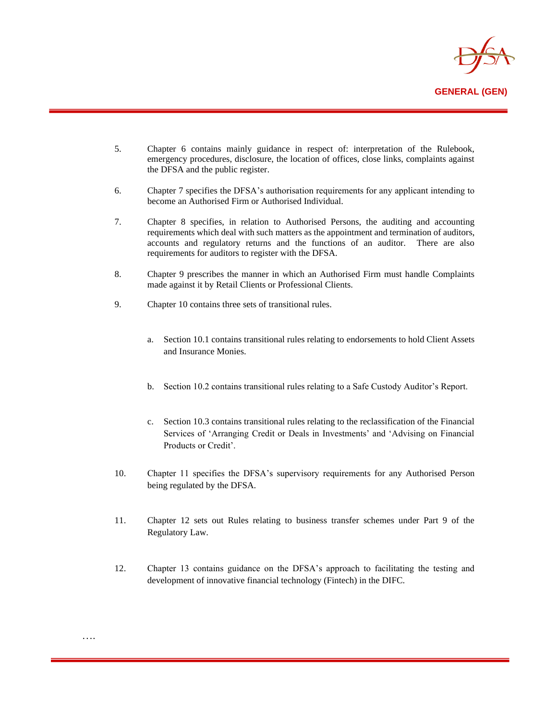

- 5. Chapter 6 contains mainly guidance in respect of: interpretation of the Rulebook, emergency procedures, disclosure, the location of offices, close links, complaints against the DFSA and the public register.
- 6. Chapter 7 specifies the DFSA's authorisation requirements for any applicant intending to become an Authorised Firm or Authorised Individual.
- 7. Chapter 8 specifies, in relation to Authorised Persons, the auditing and accounting requirements which deal with such matters as the appointment and termination of auditors, accounts and regulatory returns and the functions of an auditor. There are also requirements for auditors to register with the DFSA.
- 8. Chapter 9 prescribes the manner in which an Authorised Firm must handle Complaints made against it by Retail Clients or Professional Clients.
- 9. Chapter 10 contains three sets of transitional rules.
	- a. Section 10.1 contains transitional rules relating to endorsements to hold Client Assets and Insurance Monies.
	- b. Section 10.2 contains transitional rules relating to a Safe Custody Auditor's Report.
	- c. Section 10.3 contains transitional rules relating to the reclassification of the Financial Services of 'Arranging Credit or Deals in Investments' and 'Advising on Financial Products or Credit'.
- 10. Chapter 11 specifies the DFSA's supervisory requirements for any Authorised Person being regulated by the DFSA.
- 11. Chapter 12 sets out Rules relating to business transfer schemes under Part 9 of the Regulatory Law.
- 12. Chapter 13 contains guidance on the DFSA's approach to facilitating the testing and development of innovative financial technology (Fintech) in the DIFC.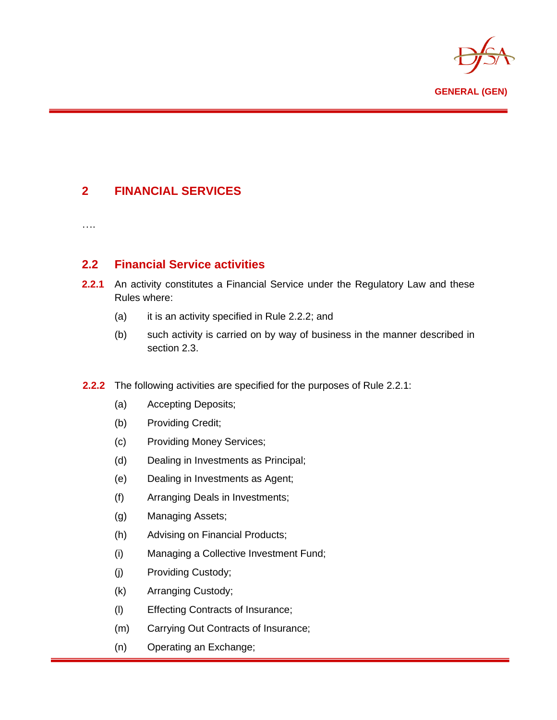

### **2 FINANCIAL SERVICES**

….

### **2.2 Financial Service activities**

- **2.2.1** An activity constitutes a Financial Service under the Regulatory Law and these Rules where:
	- (a) it is an activity specified in Rule 2.2.2; and
	- (b) such activity is carried on by way of business in the manner described in section 2.3.
- **2.2.2** The following activities are specified for the purposes of Rule 2.2.1:
	- (a) Accepting Deposits;
	- (b) Providing Credit;
	- (c) Providing Money Services;
	- (d) Dealing in Investments as Principal;
	- (e) Dealing in Investments as Agent;
	- (f) Arranging Deals in Investments;
	- (g) Managing Assets;
	- (h) Advising on Financial Products;
	- (i) Managing a Collective Investment Fund;
	- (j) Providing Custody;
	- (k) Arranging Custody;
	- (l) Effecting Contracts of Insurance;
	- (m) Carrying Out Contracts of Insurance;
	- (n) Operating an Exchange;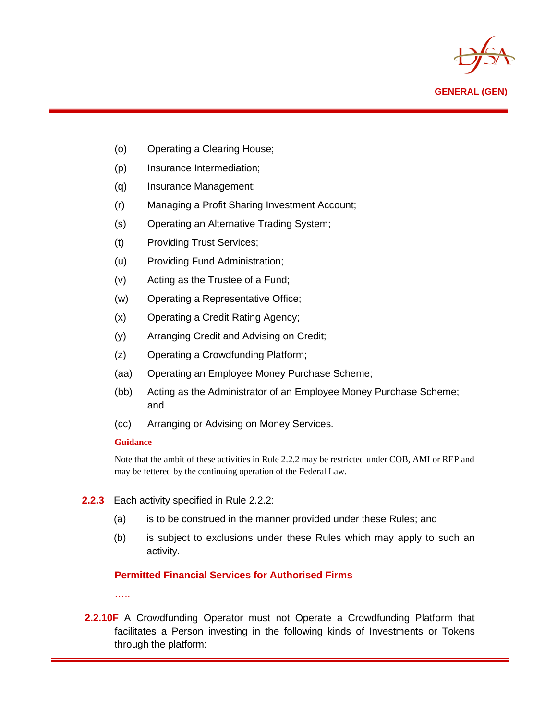

- (o) Operating a Clearing House;
- (p) Insurance Intermediation;
- (q) Insurance Management;
- (r) Managing a Profit Sharing Investment Account;
- (s) Operating an Alternative Trading System;
- (t) Providing Trust Services;
- (u) Providing Fund Administration;
- (v) Acting as the Trustee of a Fund;
- (w) Operating a Representative Office;
- (x) Operating a Credit Rating Agency;
- (y) Arranging Credit and Advising on Credit;
- (z) Operating a Crowdfunding Platform;
- (aa) Operating an Employee Money Purchase Scheme;
- (bb) Acting as the Administrator of an Employee Money Purchase Scheme; and
- (cc) Arranging or Advising on Money Services.

Note that the ambit of these activities in Rule 2.2.2 may be restricted under COB, AMI or REP and may be fettered by the continuing operation of the Federal Law.

- **2.2.3** Each activity specified in Rule 2.2.2:
	- (a) is to be construed in the manner provided under these Rules; and
	- (b) is subject to exclusions under these Rules which may apply to such an activity.

### **Permitted Financial Services for Authorised Firms**

…..

**2.2.10F** A Crowdfunding Operator must not Operate a Crowdfunding Platform that facilitates a Person investing in the following kinds of Investments or Tokens through the platform: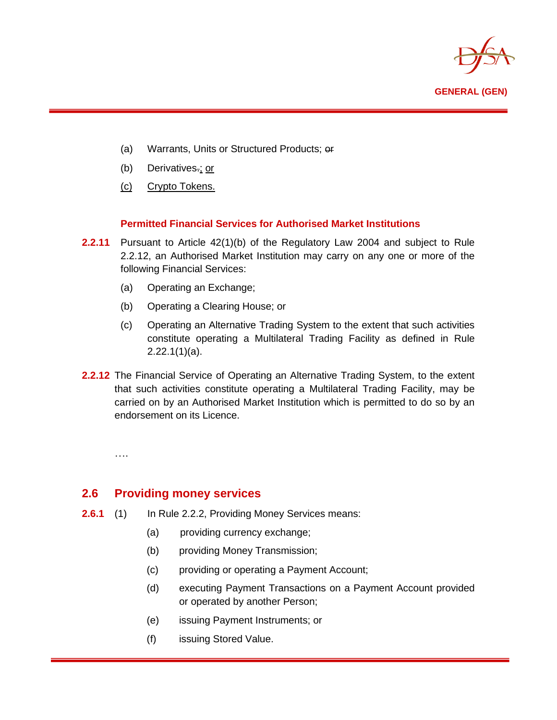

- (a) Warrants, Units or Structured Products; or
- (b) Derivatives.; or
- (c) Crypto Tokens.

### **Permitted Financial Services for Authorised Market Institutions**

- **2.2.11** Pursuant to Article 42(1)(b) of the Regulatory Law 2004 and subject to Rule 2.2.12, an Authorised Market Institution may carry on any one or more of the following Financial Services:
	- (a) Operating an Exchange;
	- (b) Operating a Clearing House; or
	- (c) Operating an Alternative Trading System to the extent that such activities constitute operating a Multilateral Trading Facility as defined in Rule 2.22.1(1)(a).
- **2.2.12** The Financial Service of Operating an Alternative Trading System, to the extent that such activities constitute operating a Multilateral Trading Facility, may be carried on by an Authorised Market Institution which is permitted to do so by an endorsement on its Licence.

….

### **2.6 Providing money services**

- **2.6.1** (1) In Rule 2.2.2, Providing Money Services means:
	- (a) providing currency exchange;
	- (b) providing Money Transmission;
	- (c) providing or operating a Payment Account;
	- (d) executing Payment Transactions on a Payment Account provided or operated by another Person;
	- (e) issuing Payment Instruments; or
	- (f) issuing Stored Value.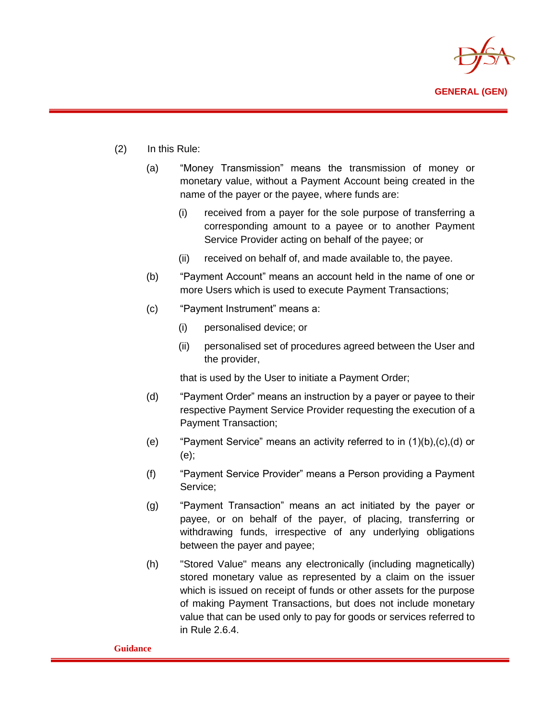

- (2) In this Rule:
	- (a) "Money Transmission" means the transmission of money or monetary value, without a Payment Account being created in the name of the payer or the payee, where funds are:
		- (i) received from a payer for the sole purpose of transferring a corresponding amount to a payee or to another Payment Service Provider acting on behalf of the payee; or
		- (ii) received on behalf of, and made available to, the payee.
	- (b) "Payment Account" means an account held in the name of one or more Users which is used to execute Payment Transactions;
	- (c) "Payment Instrument" means a:
		- (i) personalised device; or
		- (ii) personalised set of procedures agreed between the User and the provider,

that is used by the User to initiate a Payment Order;

- (d) "Payment Order" means an instruction by a payer or payee to their respective Payment Service Provider requesting the execution of a Payment Transaction;
- (e) "Payment Service" means an activity referred to in (1)(b),(c),(d) or (e);
- (f) "Payment Service Provider" means a Person providing a Payment Service;
- (g) "Payment Transaction" means an act initiated by the payer or payee, or on behalf of the payer, of placing, transferring or withdrawing funds, irrespective of any underlying obligations between the payer and payee;
- (h) "Stored Value" means any electronically (including magnetically) stored monetary value as represented by a claim on the issuer which is issued on receipt of funds or other assets for the purpose of making Payment Transactions, but does not include monetary value that can be used only to pay for goods or services referred to in Rule 2.6.4.

#### **Guidance**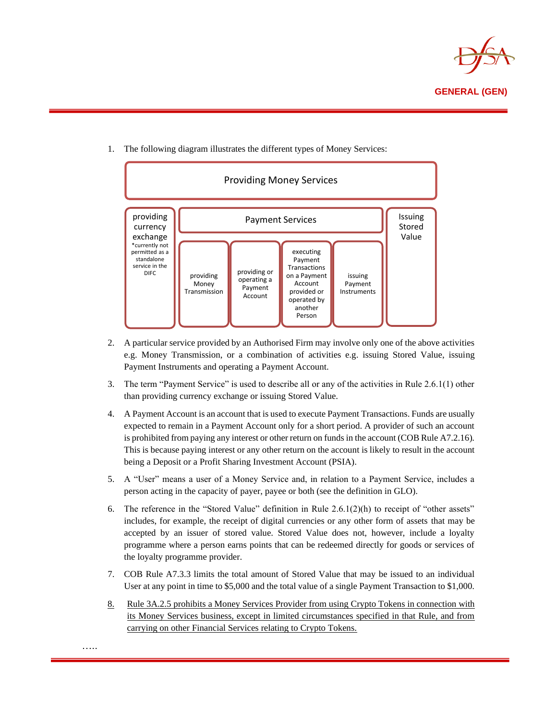

- Providing Money Services providing currency exchange \*currently not permitted as a standalone service in the DIFC Payment Services providing Money Transmission providing or operating a Payment Account executing Payment **Transactions** on a Payment Account provided or operated by another Person issuing Payment Instruments Issuing Stored Value
- 1. The following diagram illustrates the different types of Money Services:

- 2. A particular service provided by an Authorised Firm may involve only one of the above activities e.g. Money Transmission, or a combination of activities e.g. issuing Stored Value, issuing Payment Instruments and operating a Payment Account.
- 3. The term "Payment Service" is used to describe all or any of the activities in Rule 2.6.1(1) other than providing currency exchange or issuing Stored Value.
- 4. A Payment Account is an account that is used to execute Payment Transactions. Funds are usually expected to remain in a Payment Account only for a short period. A provider of such an account is prohibited from paying any interest or other return on funds in the account (COB Rule A7.2.16). This is because paying interest or any other return on the account is likely to result in the account being a Deposit or a Profit Sharing Investment Account (PSIA).
- 5. A "User" means a user of a Money Service and, in relation to a Payment Service, includes a person acting in the capacity of payer, payee or both (see the definition in GLO).
- 6. The reference in the "Stored Value" definition in Rule  $2.6.1(2)(h)$  to receipt of "other assets" includes, for example, the receipt of digital currencies or any other form of assets that may be accepted by an issuer of stored value. Stored Value does not, however, include a loyalty programme where a person earns points that can be redeemed directly for goods or services of the loyalty programme provider.
- 7. COB Rule A7.3.3 limits the total amount of Stored Value that may be issued to an individual User at any point in time to \$5,000 and the total value of a single Payment Transaction to \$1,000.
- 8. Rule 3A.2.5 prohibits a Money Services Provider from using Crypto Tokens in connection with its Money Services business, except in limited circumstances specified in that Rule, and from carrying on other Financial Services relating to Crypto Tokens.

…..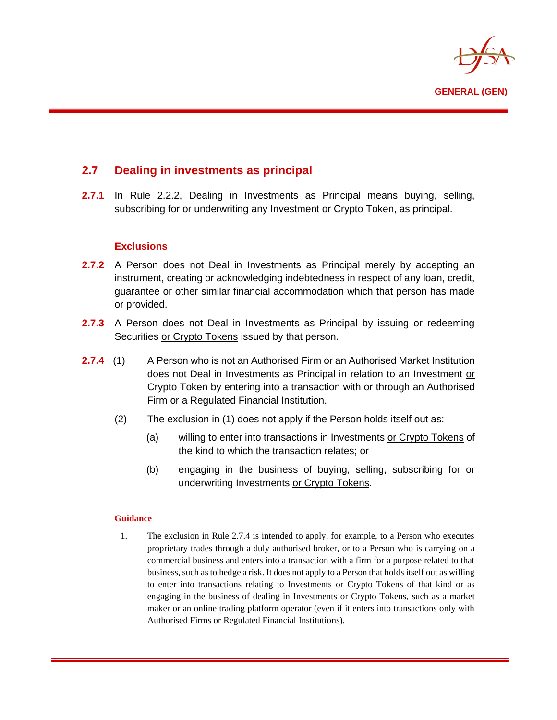

### **2.7 Dealing in investments as principal**

**2.7.1** In Rule 2.2.2, Dealing in Investments as Principal means buying, selling, subscribing for or underwriting any Investment or Crypto Token, as principal.

### **Exclusions**

- **2.7.2** A Person does not Deal in Investments as Principal merely by accepting an instrument, creating or acknowledging indebtedness in respect of any loan, credit, guarantee or other similar financial accommodation which that person has made or provided.
- **2.7.3** A Person does not Deal in Investments as Principal by issuing or redeeming Securities or Crypto Tokens issued by that person.
- **2.7.4** (1) A Person who is not an Authorised Firm or an Authorised Market Institution does not Deal in Investments as Principal in relation to an Investment or Crypto Token by entering into a transaction with or through an Authorised Firm or a Regulated Financial Institution.
	- (2) The exclusion in (1) does not apply if the Person holds itself out as:
		- (a) willing to enter into transactions in Investments or Crypto Tokens of the kind to which the transaction relates; or
		- (b) engaging in the business of buying, selling, subscribing for or underwriting Investments or Crypto Tokens.

### **Guidance**

1. The exclusion in Rule 2.7.4 is intended to apply, for example, to a Person who executes proprietary trades through a duly authorised broker, or to a Person who is carrying on a commercial business and enters into a transaction with a firm for a purpose related to that business, such as to hedge a risk. It does not apply to a Person that holds itself out as willing to enter into transactions relating to Investments or Crypto Tokens of that kind or as engaging in the business of dealing in Investments or Crypto Tokens, such as a market maker or an online trading platform operator (even if it enters into transactions only with Authorised Firms or Regulated Financial Institutions).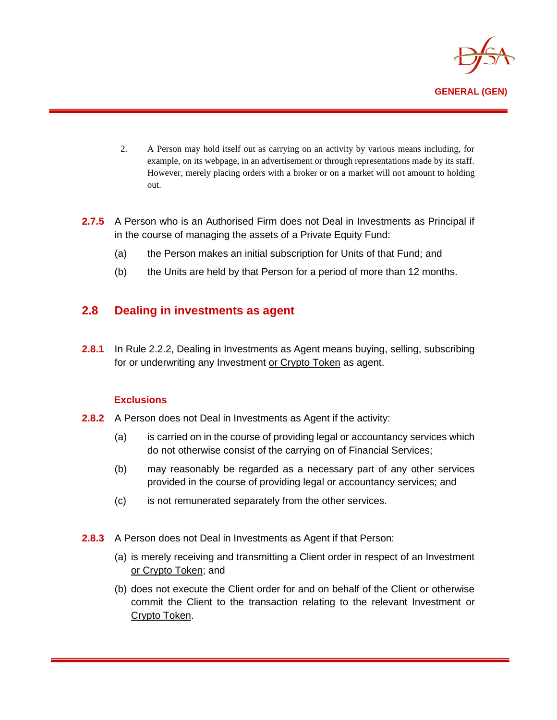

- 2. A Person may hold itself out as carrying on an activity by various means including, for example, on its webpage, in an advertisement or through representations made by its staff. However, merely placing orders with a broker or on a market will not amount to holding out.
- **2.7.5** A Person who is an Authorised Firm does not Deal in Investments as Principal if in the course of managing the assets of a Private Equity Fund:
	- (a) the Person makes an initial subscription for Units of that Fund; and
	- (b) the Units are held by that Person for a period of more than 12 months.

### **2.8 Dealing in investments as agent**

**2.8.1** In Rule 2.2.2, Dealing in Investments as Agent means buying, selling, subscribing for or underwriting any Investment or Crypto Token as agent.

### **Exclusions**

- **2.8.2** A Person does not Deal in Investments as Agent if the activity:
	- (a) is carried on in the course of providing legal or accountancy services which do not otherwise consist of the carrying on of Financial Services;
	- (b) may reasonably be regarded as a necessary part of any other services provided in the course of providing legal or accountancy services; and
	- (c) is not remunerated separately from the other services.
- **2.8.3** A Person does not Deal in Investments as Agent if that Person:
	- (a) is merely receiving and transmitting a Client order in respect of an Investment or Crypto Token; and
	- (b) does not execute the Client order for and on behalf of the Client or otherwise commit the Client to the transaction relating to the relevant Investment or Crypto Token.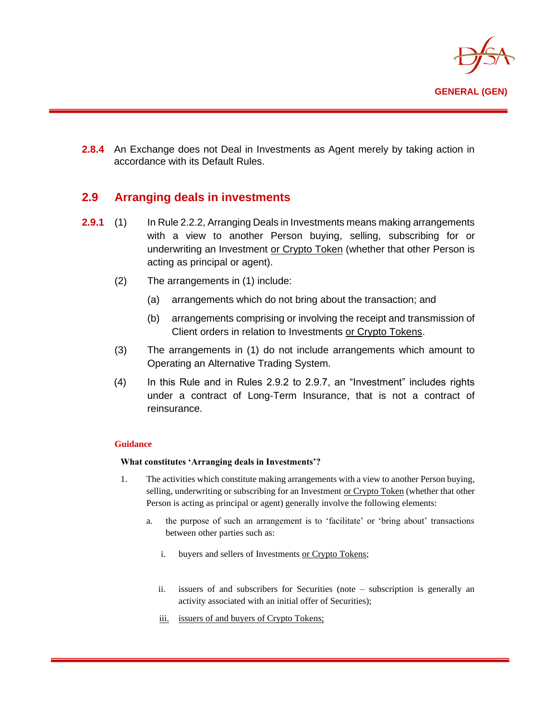

**2.8.4** An Exchange does not Deal in Investments as Agent merely by taking action in accordance with its Default Rules.

### **2.9 Arranging deals in investments**

- **2.9.1** (1) In Rule 2.2.2, Arranging Deals in Investments means making arrangements with a view to another Person buying, selling, subscribing for or underwriting an Investment or Crypto Token (whether that other Person is acting as principal or agent).
	- (2) The arrangements in (1) include:
		- (a) arrangements which do not bring about the transaction; and
		- (b) arrangements comprising or involving the receipt and transmission of Client orders in relation to Investments or Crypto Tokens.
	- (3) The arrangements in (1) do not include arrangements which amount to Operating an Alternative Trading System.
	- (4) In this Rule and in Rules 2.9.2 to 2.9.7, an "Investment" includes rights under a contract of Long-Term Insurance, that is not a contract of reinsurance.

### **Guidance**

### **What constitutes 'Arranging deals in Investments'?**

- 1. The activities which constitute making arrangements with a view to another Person buying, selling, underwriting or subscribing for an Investment or Crypto Token (whether that other Person is acting as principal or agent) generally involve the following elements:
	- a. the purpose of such an arrangement is to 'facilitate' or 'bring about' transactions between other parties such as:
		- i. buyers and sellers of Investments or Crypto Tokens;
		- ii. issuers of and subscribers for Securities (note subscription is generally an activity associated with an initial offer of Securities);
		- iii. issuers of and buyers of Crypto Tokens;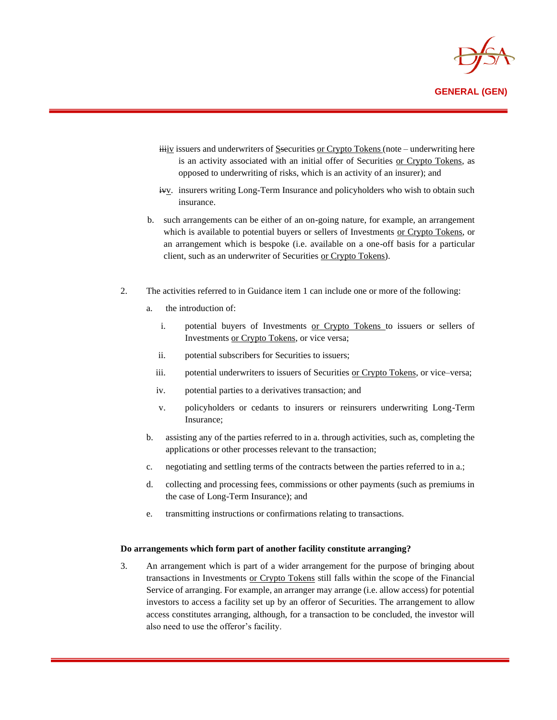

- iiiiv issuers and underwriters of Ssecurities or Crypto Tokens (note underwriting here is an activity associated with an initial offer of Securities or Crypto Tokens, as opposed to underwriting of risks, which is an activity of an insurer); and
- ivy. insurers writing Long-Term Insurance and policyholders who wish to obtain such insurance.
- b. such arrangements can be either of an on-going nature, for example, an arrangement which is available to potential buyers or sellers of Investments or Crypto Tokens, or an arrangement which is bespoke (i.e. available on a one-off basis for a particular client, such as an underwriter of Securities or Crypto Tokens).
- 2. The activities referred to in Guidance item 1 can include one or more of the following:
	- a. the introduction of:
		- i. potential buyers of Investments or Crypto Tokens to issuers or sellers of Investments or Crypto Tokens, or vice versa;
		- ii. potential subscribers for Securities to issuers;
		- iii. potential underwriters to issuers of Securities or Crypto Tokens, or vice–versa;
		- iv. potential parties to a derivatives transaction; and
		- v. policyholders or cedants to insurers or reinsurers underwriting Long-Term Insurance;
	- b. assisting any of the parties referred to in a. through activities, such as, completing the applications or other processes relevant to the transaction;
	- c. negotiating and settling terms of the contracts between the parties referred to in a.;
	- d. collecting and processing fees, commissions or other payments (such as premiums in the case of Long-Term Insurance); and
	- e. transmitting instructions or confirmations relating to transactions.

#### **Do arrangements which form part of another facility constitute arranging?**

3. An arrangement which is part of a wider arrangement for the purpose of bringing about transactions in Investments or Crypto Tokens still falls within the scope of the Financial Service of arranging. For example, an arranger may arrange (i.e. allow access) for potential investors to access a facility set up by an offeror of Securities. The arrangement to allow access constitutes arranging, although, for a transaction to be concluded, the investor will also need to use the offeror's facility.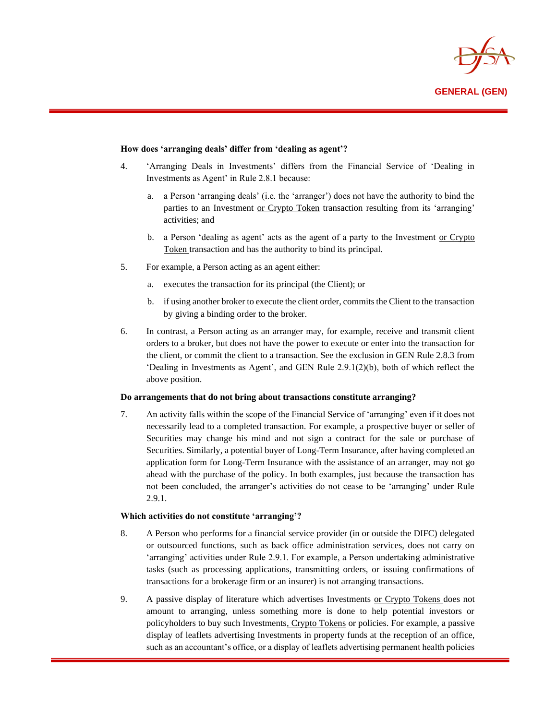

#### **How does 'arranging deals' differ from 'dealing as agent'?**

- 4. 'Arranging Deals in Investments' differs from the Financial Service of 'Dealing in Investments as Agent' in Rule 2.8.1 because:
	- a. a Person 'arranging deals' (i.e. the 'arranger') does not have the authority to bind the parties to an Investment or Crypto Token transaction resulting from its 'arranging' activities; and
	- b. a Person 'dealing as agent' acts as the agent of a party to the Investment or Crypto Token transaction and has the authority to bind its principal.
- 5. For example, a Person acting as an agent either:
	- a. executes the transaction for its principal (the Client); or
	- b. if using another broker to execute the client order, commits the Client to the transaction by giving a binding order to the broker.
- 6. In contrast, a Person acting as an arranger may, for example, receive and transmit client orders to a broker, but does not have the power to execute or enter into the transaction for the client, or commit the client to a transaction. See the exclusion in GEN Rule 2.8.3 from 'Dealing in Investments as Agent', and GEN Rule 2.9.1(2)(b), both of which reflect the above position.

#### **Do arrangements that do not bring about transactions constitute arranging?**

7. An activity falls within the scope of the Financial Service of 'arranging' even if it does not necessarily lead to a completed transaction. For example, a prospective buyer or seller of Securities may change his mind and not sign a contract for the sale or purchase of Securities. Similarly, a potential buyer of Long-Term Insurance, after having completed an application form for Long-Term Insurance with the assistance of an arranger, may not go ahead with the purchase of the policy. In both examples, just because the transaction has not been concluded, the arranger's activities do not cease to be 'arranging' under Rule 2.9.1.

#### **Which activities do not constitute 'arranging'?**

- 8. A Person who performs for a financial service provider (in or outside the DIFC) delegated or outsourced functions, such as back office administration services, does not carry on 'arranging' activities under Rule 2.9.1. For example, a Person undertaking administrative tasks (such as processing applications, transmitting orders, or issuing confirmations of transactions for a brokerage firm or an insurer) is not arranging transactions.
- 9. A passive display of literature which advertises Investments or Crypto Tokens does not amount to arranging, unless something more is done to help potential investors or policyholders to buy such Investments, Crypto Tokens or policies. For example, a passive display of leaflets advertising Investments in property funds at the reception of an office, such as an accountant's office, or a display of leaflets advertising permanent health policies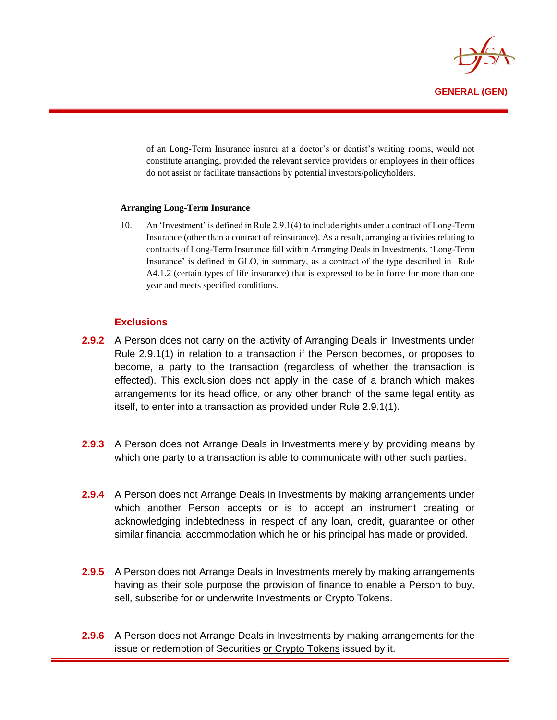

of an Long-Term Insurance insurer at a doctor's or dentist's waiting rooms, would not constitute arranging, provided the relevant service providers or employees in their offices do not assist or facilitate transactions by potential investors/policyholders.

### **Arranging Long-Term Insurance**

10. An 'Investment' is defined in Rule 2.9.1(4) to include rights under a contract of Long-Term Insurance (other than a contract of reinsurance). As a result, arranging activities relating to contracts of Long-Term Insurance fall within Arranging Deals in Investments. 'Long-Term Insurance' is defined in GLO, in summary, as a contract of the type described in Rule A4.1.2 (certain types of life insurance) that is expressed to be in force for more than one year and meets specified conditions.

### **Exclusions**

- **2.9.2** A Person does not carry on the activity of Arranging Deals in Investments under Rule 2.9.1(1) in relation to a transaction if the Person becomes, or proposes to become, a party to the transaction (regardless of whether the transaction is effected). This exclusion does not apply in the case of a branch which makes arrangements for its head office, or any other branch of the same legal entity as itself, to enter into a transaction as provided under Rule 2.9.1(1).
- **2.9.3** A Person does not Arrange Deals in Investments merely by providing means by which one party to a transaction is able to communicate with other such parties.
- **2.9.4** A Person does not Arrange Deals in Investments by making arrangements under which another Person accepts or is to accept an instrument creating or acknowledging indebtedness in respect of any loan, credit, guarantee or other similar financial accommodation which he or his principal has made or provided.
- **2.9.5** A Person does not Arrange Deals in Investments merely by making arrangements having as their sole purpose the provision of finance to enable a Person to buy, sell, subscribe for or underwrite Investments or Crypto Tokens.
- **2.9.6** A Person does not Arrange Deals in Investments by making arrangements for the issue or redemption of Securities or Crypto Tokens issued by it.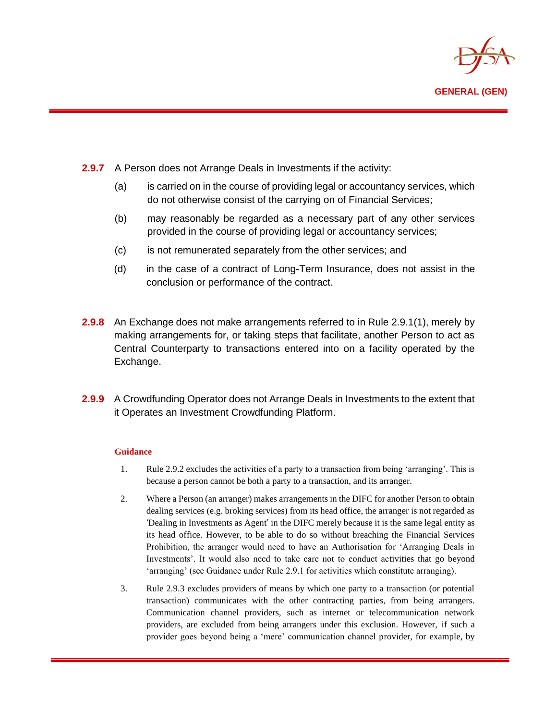

- **2.9.7** A Person does not Arrange Deals in Investments if the activity:
	- (a) is carried on in the course of providing legal or accountancy services, which do not otherwise consist of the carrying on of Financial Services;
	- (b) may reasonably be regarded as a necessary part of any other services provided in the course of providing legal or accountancy services;
	- (c) is not remunerated separately from the other services; and
	- (d) in the case of a contract of Long-Term Insurance, does not assist in the conclusion or performance of the contract.
- **2.9.8** An Exchange does not make arrangements referred to in Rule 2.9.1(1), merely by making arrangements for, or taking steps that facilitate, another Person to act as Central Counterparty to transactions entered into on a facility operated by the Exchange.
- **2.9.9** A Crowdfunding Operator does not Arrange Deals in Investments to the extent that it Operates an Investment Crowdfunding Platform.

- 1. Rule 2.9.2 excludes the activities of a party to a transaction from being 'arranging'. This is because a person cannot be both a party to a transaction, and its arranger.
- 2. Where a Person (an arranger) makes arrangements in the DIFC for another Person to obtain dealing services (e.g. broking services) from its head office, the arranger is not regarded as 'Dealing in Investments as Agent' in the DIFC merely because it is the same legal entity as its head office. However, to be able to do so without breaching the Financial Services Prohibition, the arranger would need to have an Authorisation for 'Arranging Deals in Investments'. It would also need to take care not to conduct activities that go beyond 'arranging' (see Guidance under Rule 2.9.1 for activities which constitute arranging).
- 3. Rule 2.9.3 excludes providers of means by which one party to a transaction (or potential transaction) communicates with the other contracting parties, from being arrangers. Communication channel providers, such as internet or telecommunication network providers, are excluded from being arrangers under this exclusion. However, if such a provider goes beyond being a 'mere' communication channel provider, for example, by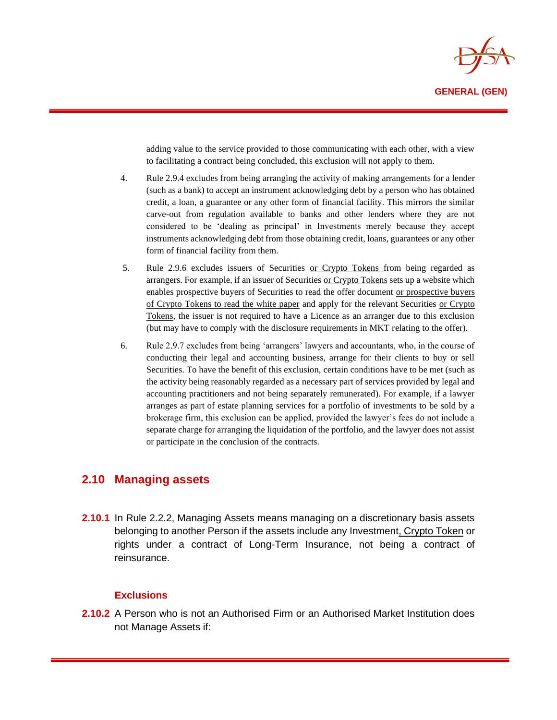

adding value to the service provided to those communicating with each other, with a view to facilitating a contract being concluded, this exclusion will not apply to them.

- 4. Rule 2.9.4 excludes from being arranging the activity of making arrangements for a lender (such as a bank) to accept an instrument acknowledging debt by a person who has obtained credit, a loan, a guarantee or any other form of financial facility. This mirrors the similar carve-out from regulation available to banks and other lenders where they are not considered to be 'dealing as principal' in Investments merely because they accept instruments acknowledging debt from those obtaining credit, loans, guarantees or any other form of financial facility from them.
- 5. Rule 2.9.6 excludes issuers of Securities or Crypto Tokens from being regarded as arrangers. For example, if an issuer of Securities or Crypto Tokens sets up a website which enables prospective buyers of Securities to read the offer document or prospective buyers of Crypto Tokens to read the white paper and apply for the relevant Securities or Crypto Tokens, the issuer is not required to have a Licence as an arranger due to this exclusion (but may have to comply with the disclosure requirements in MKT relating to the offer).
- 6. Rule 2.9.7 excludes from being 'arrangers' lawyers and accountants, who, in the course of conducting their legal and accounting business, arrange for their clients to buy or sell Securities. To have the benefit of this exclusion, certain conditions have to be met (such as the activity being reasonably regarded as a necessary part of services provided by legal and accounting practitioners and not being separately remunerated). For example, if a lawyer arranges as part of estate planning services for a portfolio of investments to be sold by a brokerage firm, this exclusion can be applied, provided the lawyer's fees do not include a separate charge for arranging the liquidation of the portfolio, and the lawyer does not assist or participate in the conclusion of the contracts.

### **2.10 Managing assets**

**2.10.1** In Rule 2.2.2, Managing Assets means managing on a discretionary basis assets belonging to another Person if the assets include any Investment, Crypto Token or rights under a contract of Long-Term Insurance, not being a contract of reinsurance.

### **Exclusions**

**2.10.2** A Person who is not an Authorised Firm or an Authorised Market Institution does not Manage Assets if: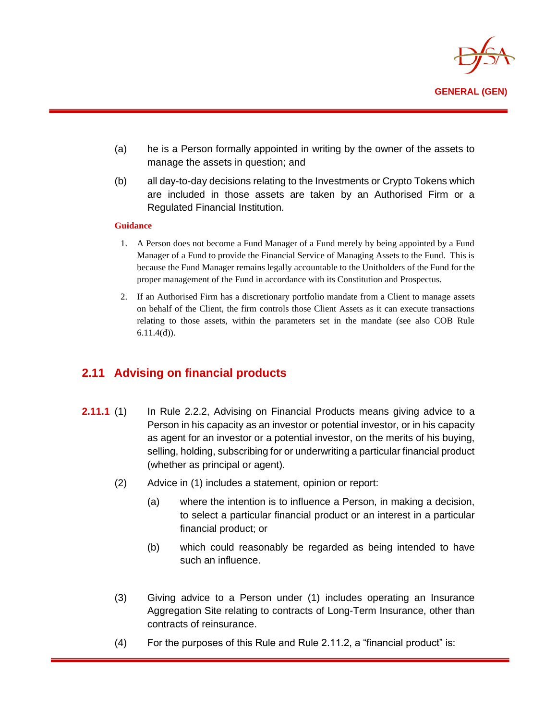

- (a) he is a Person formally appointed in writing by the owner of the assets to manage the assets in question; and
- (b) all day-to-day decisions relating to the Investments or Crypto Tokens which are included in those assets are taken by an Authorised Firm or a Regulated Financial Institution.

- 1. A Person does not become a Fund Manager of a Fund merely by being appointed by a Fund Manager of a Fund to provide the Financial Service of Managing Assets to the Fund. This is because the Fund Manager remains legally accountable to the Unitholders of the Fund for the proper management of the Fund in accordance with its Constitution and Prospectus.
- 2. If an Authorised Firm has a discretionary portfolio mandate from a Client to manage assets on behalf of the Client, the firm controls those Client Assets as it can execute transactions relating to those assets, within the parameters set in the mandate (see also COB Rule 6.11.4(d)).

### **2.11 Advising on financial products**

- **2.11.1** (1) In Rule 2.2.2, Advising on Financial Products means giving advice to a Person in his capacity as an investor or potential investor, or in his capacity as agent for an investor or a potential investor, on the merits of his buying, selling, holding, subscribing for or underwriting a particular financial product (whether as principal or agent).
	- (2) Advice in (1) includes a statement, opinion or report:
		- (a) where the intention is to influence a Person, in making a decision, to select a particular financial product or an interest in a particular financial product; or
		- (b) which could reasonably be regarded as being intended to have such an influence.
	- (3) Giving advice to a Person under (1) includes operating an Insurance Aggregation Site relating to contracts of Long-Term Insurance, other than contracts of reinsurance.
	- (4) For the purposes of this Rule and Rule 2.11.2, a "financial product" is: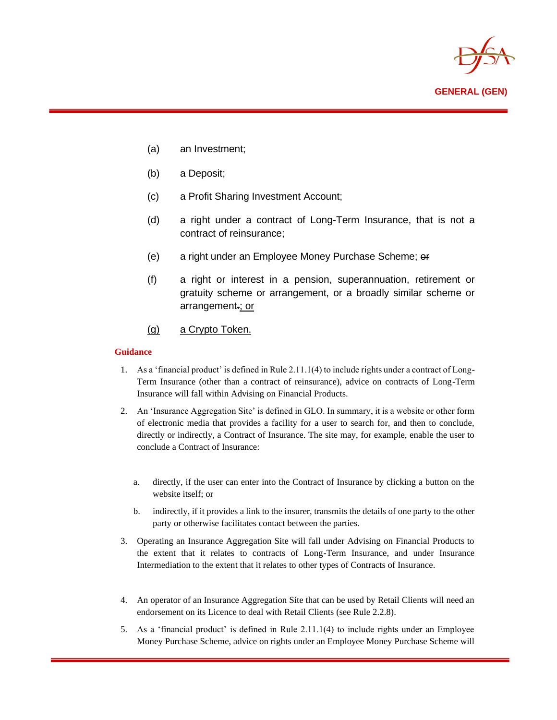

- (a) an Investment;
- (b) a Deposit;
- (c) a Profit Sharing Investment Account;
- (d) a right under a contract of Long-Term Insurance, that is not a contract of reinsurance;
- (e) a right under an Employee Money Purchase Scheme; or
- (f) a right or interest in a pension, superannuation, retirement or gratuity scheme or arrangement, or a broadly similar scheme or arrangement.; or
- (g) a Crypto Token.

- 1. As a 'financial product' is defined in Rule 2.11.1(4) to include rights under a contract of Long-Term Insurance (other than a contract of reinsurance), advice on contracts of Long-Term Insurance will fall within Advising on Financial Products.
- 2. An 'Insurance Aggregation Site' is defined in GLO. In summary, it is a website or other form of electronic media that provides a facility for a user to search for, and then to conclude, directly or indirectly, a Contract of Insurance. The site may, for example, enable the user to conclude a Contract of Insurance:
	- a. directly, if the user can enter into the Contract of Insurance by clicking a button on the website itself; or
	- b. indirectly, if it provides a link to the insurer, transmits the details of one party to the other party or otherwise facilitates contact between the parties.
- 3. Operating an Insurance Aggregation Site will fall under Advising on Financial Products to the extent that it relates to contracts of Long-Term Insurance, and under Insurance Intermediation to the extent that it relates to other types of Contracts of Insurance.
- 4. An operator of an Insurance Aggregation Site that can be used by Retail Clients will need an endorsement on its Licence to deal with Retail Clients (see Rule 2.2.8).
- 5. As a 'financial product' is defined in Rule 2.11.1(4) to include rights under an Employee Money Purchase Scheme, advice on rights under an Employee Money Purchase Scheme will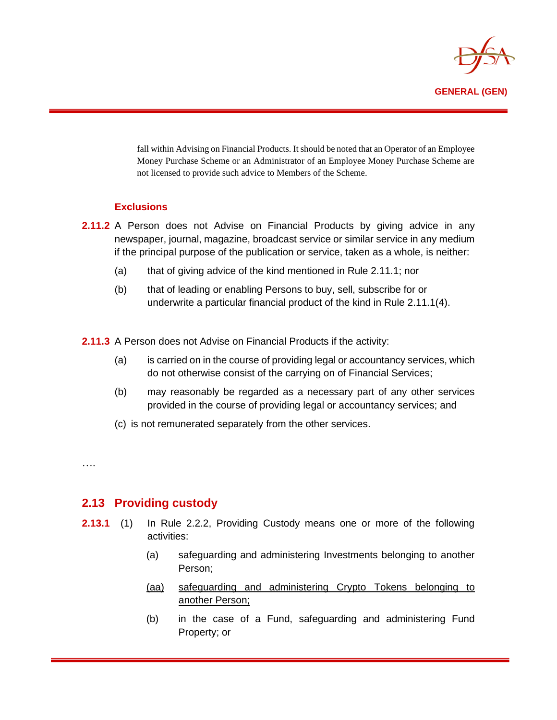

fall within Advising on Financial Products. It should be noted that an Operator of an Employee Money Purchase Scheme or an Administrator of an Employee Money Purchase Scheme are not licensed to provide such advice to Members of the Scheme.

### **Exclusions**

- **2.11.2** A Person does not Advise on Financial Products by giving advice in any newspaper, journal, magazine, broadcast service or similar service in any medium if the principal purpose of the publication or service, taken as a whole, is neither:
	- (a) that of giving advice of the kind mentioned in Rule 2.11.1; nor
	- (b) that of leading or enabling Persons to buy, sell, subscribe for or underwrite a particular financial product of the kind in Rule 2.11.1(4).
- **2.11.3** A Person does not Advise on Financial Products if the activity:
	- (a) is carried on in the course of providing legal or accountancy services, which do not otherwise consist of the carrying on of Financial Services;
	- (b) may reasonably be regarded as a necessary part of any other services provided in the course of providing legal or accountancy services; and
	- (c) is not remunerated separately from the other services.

….

### **2.13 Providing custody**

- **2.13.1** (1) In Rule 2.2.2, Providing Custody means one or more of the following activities:
	- (a) safeguarding and administering Investments belonging to another Person;
	- (aa) safeguarding and administering Crypto Tokens belonging to another Person;
	- (b) in the case of a Fund, safeguarding and administering Fund Property; or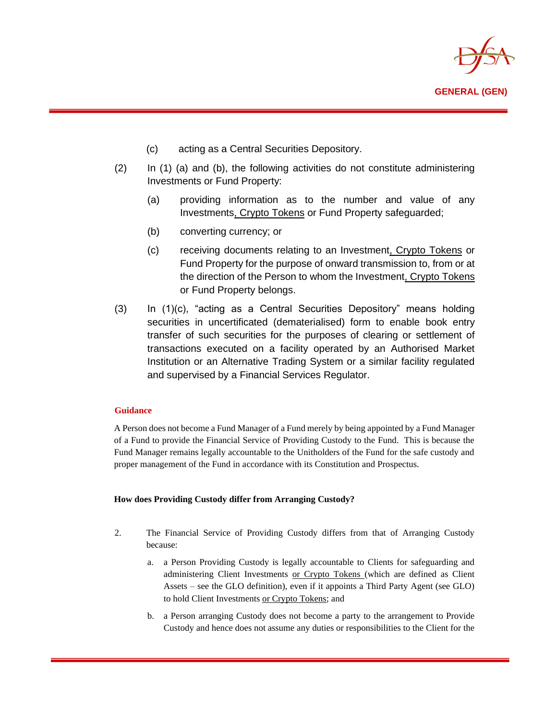

- (c) acting as a Central Securities Depository.
- (2) In (1) (a) and (b), the following activities do not constitute administering Investments or Fund Property:
	- (a) providing information as to the number and value of any Investments, Crypto Tokens or Fund Property safeguarded;
	- (b) converting currency; or
	- (c) receiving documents relating to an Investment, Crypto Tokens or Fund Property for the purpose of onward transmission to, from or at the direction of the Person to whom the Investment, Crypto Tokens or Fund Property belongs.
- (3) In (1)(c), "acting as a Central Securities Depository" means holding securities in uncertificated (dematerialised) form to enable [book entry](http://en.wikipedia.org/wiki/Book_entry) transfer of such securities for the purposes of clearing or settlement of transactions executed on a facility operated by an Authorised Market Institution or an Alternative Trading System or a similar facility regulated and supervised by a Financial Services Regulator.

A Person does not become a Fund Manager of a Fund merely by being appointed by a Fund Manager of a Fund to provide the Financial Service of Providing Custody to the Fund. This is because the Fund Manager remains legally accountable to the Unitholders of the Fund for the safe custody and proper management of the Fund in accordance with its Constitution and Prospectus.

### **How does Providing Custody differ from Arranging Custody?**

- 2. The Financial Service of Providing Custody differs from that of Arranging Custody because:
	- a. a Person Providing Custody is legally accountable to Clients for safeguarding and administering Client Investments or Crypto Tokens (which are defined as Client Assets – see the GLO definition), even if it appoints a Third Party Agent (see GLO) to hold Client Investments or Crypto Tokens; and
	- b. a Person arranging Custody does not become a party to the arrangement to Provide Custody and hence does not assume any duties or responsibilities to the Client for the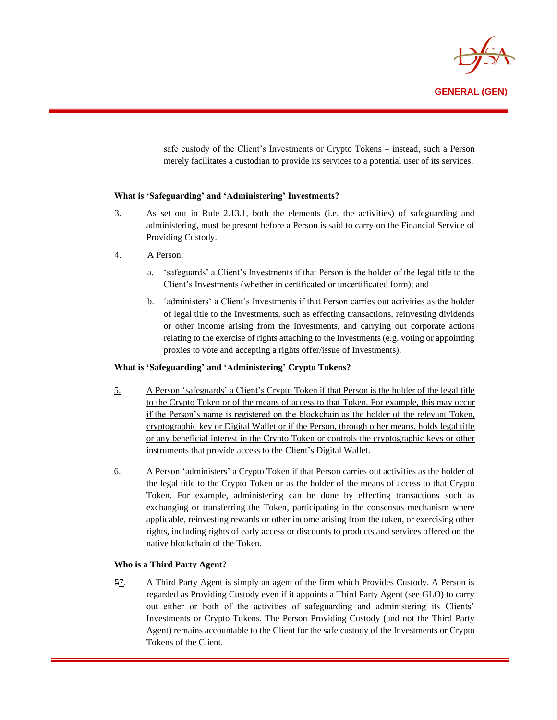

safe custody of the Client's Investments or Crypto Tokens – instead, such a Person merely facilitates a custodian to provide its services to a potential user of its services.

#### **What is 'Safeguarding' and 'Administering' Investments?**

- 3. As set out in Rule 2.13.1, both the elements (i.e. the activities) of safeguarding and administering, must be present before a Person is said to carry on the Financial Service of Providing Custody.
- 4. A Person:
	- a. 'safeguards' a Client's Investments if that Person is the holder of the legal title to the Client's Investments (whether in certificated or uncertificated form); and
	- b. 'administers' a Client's Investments if that Person carries out activities as the holder of legal title to the Investments, such as effecting transactions, reinvesting dividends or other income arising from the Investments, and carrying out corporate actions relating to the exercise of rights attaching to the Investments (e.g. voting or appointing proxies to vote and accepting a rights offer/issue of Investments).

#### **What is 'Safeguarding' and 'Administering' Crypto Tokens?**

- 5. A Person 'safeguards' a Client's Crypto Token if that Person is the holder of the legal title to the Crypto Token or of the means of access to that Token. For example, this may occur if the Person's name is registered on the blockchain as the holder of the relevant Token, cryptographic key or Digital Wallet or if the Person, through other means, holds legal title or any beneficial interest in the Crypto Token or controls the cryptographic keys or other instruments that provide access to the Client's Digital Wallet.
- 6. A Person 'administers' a Crypto Token if that Person carries out activities as the holder of the legal title to the Crypto Token or as the holder of the means of access to that Crypto Token. For example, administering can be done by effecting transactions such as exchanging or transferring the Token, participating in the consensus mechanism where applicable, reinvesting rewards or other income arising from the token, or exercising other rights, including rights of early access or discounts to products and services offered on the native blockchain of the Token.

### **Who is a Third Party Agent?**

57. A Third Party Agent is simply an agent of the firm which Provides Custody. A Person is regarded as Providing Custody even if it appoints a Third Party Agent (see GLO) to carry out either or both of the activities of safeguarding and administering its Clients' Investments or Crypto Tokens. The Person Providing Custody (and not the Third Party Agent) remains accountable to the Client for the safe custody of the Investments or Crypto Tokens of the Client.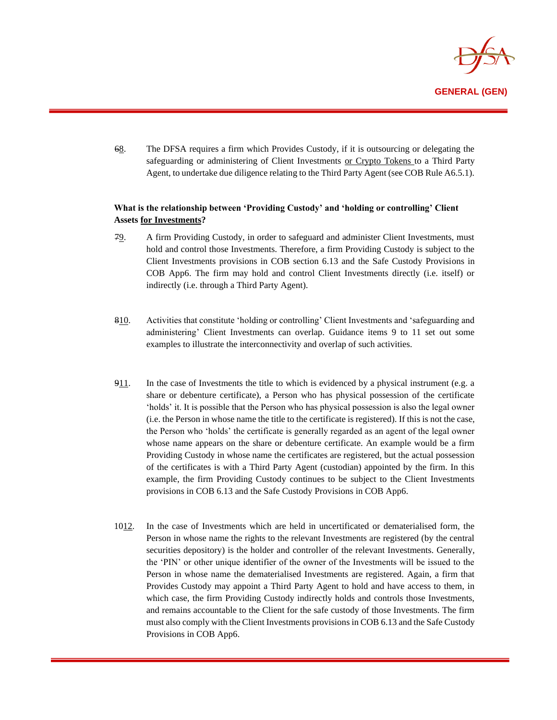

68. The DFSA requires a firm which Provides Custody, if it is outsourcing or delegating the safeguarding or administering of Client Investments or Crypto Tokens to a Third Party Agent, to undertake due diligence relating to the Third Party Agent (see COB Rule A6.5.1).

### **What is the relationship between 'Providing Custody' and 'holding or controlling' Client Assets for Investments?**

- 79. A firm Providing Custody, in order to safeguard and administer Client Investments, must hold and control those Investments. Therefore, a firm Providing Custody is subject to the Client Investments provisions in COB section 6.13 and the Safe Custody Provisions in COB App6. The firm may hold and control Client Investments directly (i.e. itself) or indirectly (i.e. through a Third Party Agent).
- 810. Activities that constitute 'holding or controlling' Client Investments and 'safeguarding and administering' Client Investments can overlap. Guidance items 9 to 11 set out some examples to illustrate the interconnectivity and overlap of such activities.
- 911. In the case of Investments the title to which is evidenced by a physical instrument (e.g. a share or debenture certificate), a Person who has physical possession of the certificate 'holds' it. It is possible that the Person who has physical possession is also the legal owner (i.e. the Person in whose name the title to the certificate is registered). If this is not the case, the Person who 'holds' the certificate is generally regarded as an agent of the legal owner whose name appears on the share or debenture certificate. An example would be a firm Providing Custody in whose name the certificates are registered, but the actual possession of the certificates is with a Third Party Agent (custodian) appointed by the firm. In this example, the firm Providing Custody continues to be subject to the Client Investments provisions in COB 6.13 and the Safe Custody Provisions in COB App6.
- 1012. In the case of Investments which are held in uncertificated or dematerialised form, the Person in whose name the rights to the relevant Investments are registered (by the central securities depository) is the holder and controller of the relevant Investments. Generally, the 'PIN' or other unique identifier of the owner of the Investments will be issued to the Person in whose name the dematerialised Investments are registered. Again, a firm that Provides Custody may appoint a Third Party Agent to hold and have access to them, in which case, the firm Providing Custody indirectly holds and controls those Investments, and remains accountable to the Client for the safe custody of those Investments. The firm must also comply with the Client Investments provisions in COB 6.13 and the Safe Custody Provisions in COB App6.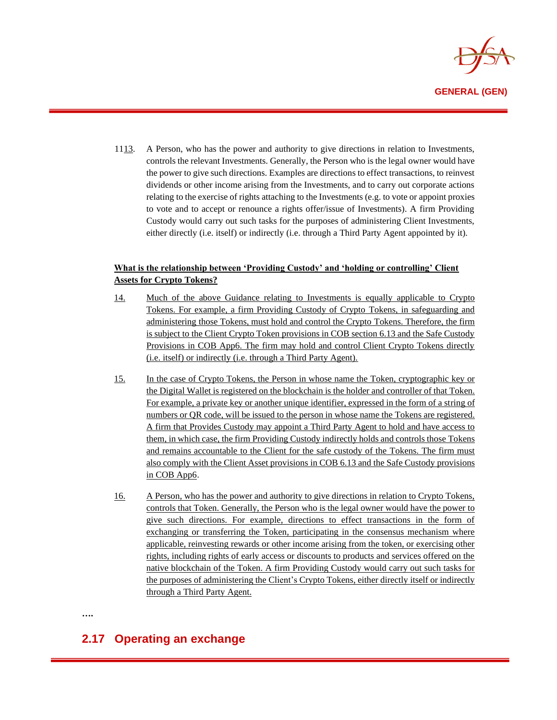

1113. A Person, who has the power and authority to give directions in relation to Investments, controls the relevant Investments. Generally, the Person who is the legal owner would have the power to give such directions. Examples are directions to effect transactions, to reinvest dividends or other income arising from the Investments, and to carry out corporate actions relating to the exercise of rights attaching to the Investments (e.g. to vote or appoint proxies to vote and to accept or renounce a rights offer/issue of Investments). A firm Providing Custody would carry out such tasks for the purposes of administering Client Investments, either directly (i.e. itself) or indirectly (i.e. through a Third Party Agent appointed by it).

### **What is the relationship between 'Providing Custody' and 'holding or controlling' Client Assets for Crypto Tokens?**

- 14. Much of the above Guidance relating to Investments is equally applicable to Crypto Tokens. For example, a firm Providing Custody of Crypto Tokens, in safeguarding and administering those Tokens, must hold and control the Crypto Tokens. Therefore, the firm is subject to the Client Crypto Token provisions in COB section 6.13 and the Safe Custody Provisions in COB App6. The firm may hold and control Client Crypto Tokens directly (i.e. itself) or indirectly (i.e. through a Third Party Agent).
- 15. In the case of Crypto Tokens, the Person in whose name the Token, cryptographic key or the Digital Wallet is registered on the blockchain is the holder and controller of that Token. For example, a private key or another unique identifier, expressed in the form of a string of numbers or QR code, will be issued to the person in whose name the Tokens are registered. A firm that Provides Custody may appoint a Third Party Agent to hold and have access to them, in which case, the firm Providing Custody indirectly holds and controls those Tokens and remains accountable to the Client for the safe custody of the Tokens. The firm must also comply with the Client Asset provisions in COB 6.13 and the Safe Custody provisions in COB App6.
- 16. A Person, who has the power and authority to give directions in relation to Crypto Tokens, controls that Token. Generally, the Person who is the legal owner would have the power to give such directions. For example, directions to effect transactions in the form of exchanging or transferring the Token, participating in the consensus mechanism where applicable, reinvesting rewards or other income arising from the token, or exercising other rights, including rights of early access or discounts to products and services offered on the native blockchain of the Token. A firm Providing Custody would carry out such tasks for the purposes of administering the Client's Crypto Tokens, either directly itself or indirectly through a Third Party Agent.

**….**

### **2.17 Operating an exchange**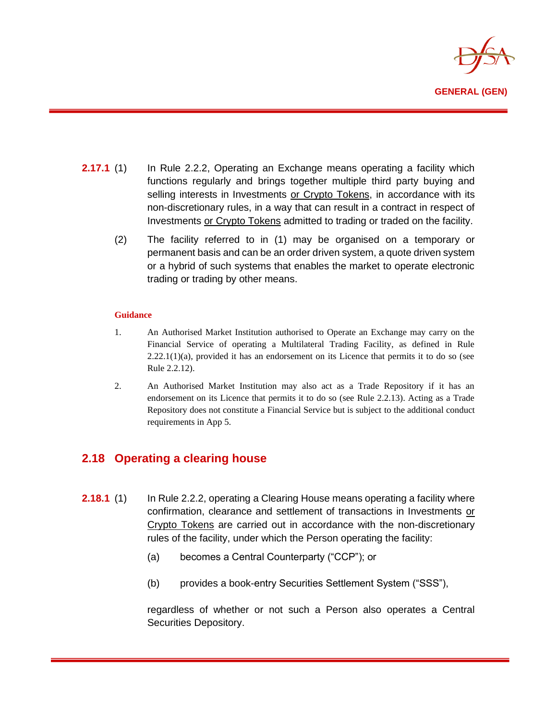

- **2.17.1** (1) In Rule 2.2.2, Operating an Exchange means operating a facility which functions regularly and brings together multiple third party buying and selling interests in Investments or Crypto Tokens, in accordance with its non-discretionary rules, in a way that can result in a contract in respect of Investments or Crypto Tokens admitted to trading or traded on the facility.
	- (2) The facility referred to in (1) may be organised on a temporary or permanent basis and can be an order driven system, a quote driven system or a hybrid of such systems that enables the market to operate electronic trading or trading by other means.

- 1. An Authorised Market Institution authorised to Operate an Exchange may carry on the Financial Service of operating a Multilateral Trading Facility, as defined in Rule  $2.22.1(1)(a)$ , provided it has an endorsement on its Licence that permits it to do so (see Rule 2.2.12).
- 2. An Authorised Market Institution may also act as a Trade Repository if it has an endorsement on its Licence that permits it to do so (see Rule 2.2.13). Acting as a Trade Repository does not constitute a Financial Service but is subject to the additional conduct requirements in App 5.

### **2.18 Operating a clearing house**

- **2.18.1** (1) In Rule 2.2.2, operating a Clearing House means operating a facility where confirmation, clearance and settlement of transactions in Investments or Crypto Tokens are carried out in accordance with the non-discretionary rules of the facility, under which the Person operating the facility:
	- (a) becomes a Central Counterparty ("CCP"); or
	- (b) provides a book-entry Securities Settlement System ("SSS"),

regardless of whether or not such a Person also operates a Central Securities Depository.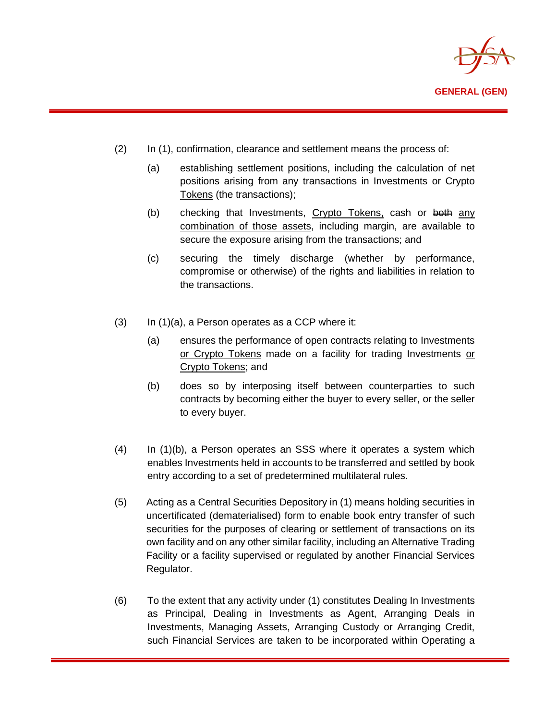

- (2) In (1), confirmation, clearance and settlement means the process of:
	- (a) establishing settlement positions, including the calculation of net positions arising from any transactions in Investments or Crypto Tokens (the transactions);
	- (b) checking that Investments, Crypto Tokens, cash or both any combination of those assets, including margin, are available to secure the exposure arising from the transactions; and
	- (c) securing the timely discharge (whether by performance, compromise or otherwise) of the rights and liabilities in relation to the transactions.
- $(3)$  In  $(1)(a)$ , a Person operates as a CCP where it:
	- (a) ensures the performance of open contracts relating to Investments or Crypto Tokens made on a facility for trading Investments or Crypto Tokens; and
	- (b) does so by interposing itself between counterparties to such contracts by becoming either the buyer to every seller, or the seller to every buyer.
- (4) In (1)(b), a Person operates an SSS where it operates a system which enables Investments held in accounts to be transferred and settled by book entry according to a set of predetermined multilateral rules.
- (5) Acting as a Central Securities Depository in (1) means holding securities in uncertificated (dematerialised) form to enable [book entry](http://en.wikipedia.org/wiki/Book_entry) transfer of such securities for the purposes of clearing or settlement of transactions on its own facility and on any other similar facility, including an Alternative Trading Facility or a facility supervised or regulated by another Financial Services Regulator.
- (6) To the extent that any activity under (1) constitutes Dealing In Investments as Principal, Dealing in Investments as Agent, Arranging Deals in Investments, Managing Assets, Arranging Custody or Arranging Credit, such Financial Services are taken to be incorporated within Operating a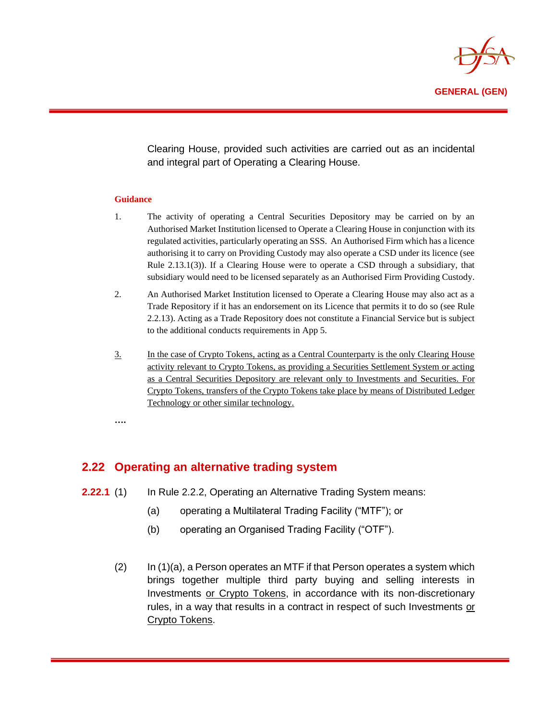

Clearing House, provided such activities are carried out as an incidental and integral part of Operating a Clearing House.

### **Guidance**

- 1. The activity of operating a Central Securities Depository may be carried on by an Authorised Market Institution licensed to Operate a Clearing House in conjunction with its regulated activities, particularly operating an SSS. An Authorised Firm which has a licence authorising it to carry on Providing Custody may also operate a CSD under its licence (see Rule 2.13.1(3)). If a Clearing House were to operate a CSD through a subsidiary, that subsidiary would need to be licensed separately as an Authorised Firm Providing Custody.
- 2. An Authorised Market Institution licensed to Operate a Clearing House may also act as a Trade Repository if it has an endorsement on its Licence that permits it to do so (see Rule 2.2.13). Acting as a Trade Repository does not constitute a Financial Service but is subject to the additional conducts requirements in App 5.
- 3. In the case of Crypto Tokens, acting as a Central Counterparty is the only Clearing House activity relevant to Crypto Tokens, as providing a Securities Settlement System or acting as a Central Securities Depository are relevant only to Investments and Securities. For Crypto Tokens, transfers of the Crypto Tokens take place by means of Distributed Ledger Technology or other similar technology.

**….**

### **2.22 Operating an alternative trading system**

- **2.22.1** (1) In Rule 2.2.2, Operating an Alternative Trading System means:
	- (a) operating a Multilateral Trading Facility ("MTF"); or
	- (b) operating an Organised Trading Facility ("OTF").
	- $(2)$  In  $(1)(a)$ , a Person operates an MTF if that Person operates a system which brings together multiple third party buying and selling interests in Investments or Crypto Tokens, in accordance with its non-discretionary rules, in a way that results in a contract in respect of such Investments or Crypto Tokens.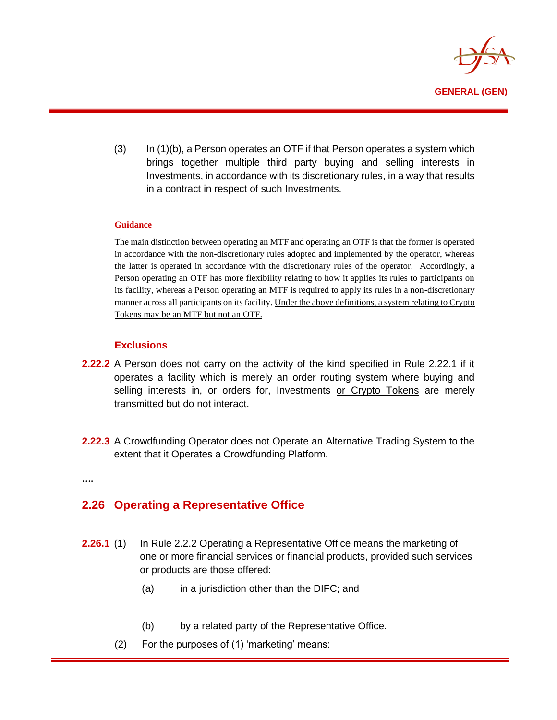

(3) In (1)(b), a Person operates an OTF if that Person operates a system which brings together multiple third party buying and selling interests in Investments, in accordance with its discretionary rules, in a way that results in a contract in respect of such Investments.

### **Guidance**

The main distinction between operating an MTF and operating an OTF is that the former is operated in accordance with the non-discretionary rules adopted and implemented by the operator, whereas the latter is operated in accordance with the discretionary rules of the operator. Accordingly, a Person operating an OTF has more flexibility relating to how it applies its rules to participants on its facility, whereas a Person operating an MTF is required to apply its rules in a non-discretionary manner across all participants on its facility. Under the above definitions, a system relating to Crypto Tokens may be an MTF but not an OTF.

### **Exclusions**

- **2.22.2** A Person does not carry on the activity of the kind specified in Rule 2.22.1 if it operates a facility which is merely an order routing system where buying and selling interests in, or orders for, Investments or Crypto Tokens are merely transmitted but do not interact.
- **2.22.3** A Crowdfunding Operator does not Operate an Alternative Trading System to the extent that it Operates a Crowdfunding Platform.

**….**

### **2.26 Operating a Representative Office**

- **2.26.1** (1) In Rule 2.2.2 Operating a Representative Office means the marketing of one or more financial services or financial products, provided such services or products are those offered:
	- (a) in a jurisdiction other than the DIFC; and
	- (b) by a related party of the Representative Office.
	- (2) For the purposes of (1) 'marketing' means: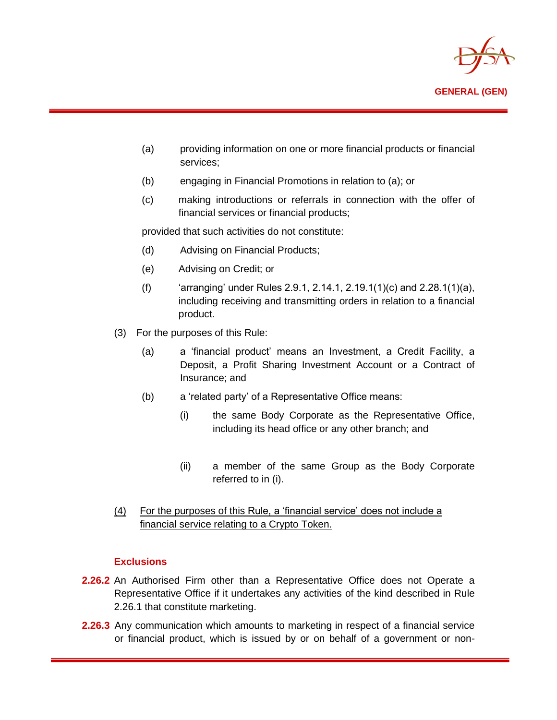

- (a) providing information on one or more financial products or financial services;
- (b) engaging in Financial Promotions in relation to (a); or
- (c) making introductions or referrals in connection with the offer of financial services or financial products;

provided that such activities do not constitute:

- (d) Advising on Financial Products;
- (e) Advising on Credit; or
- (f)  $\qquad$  'arranging' under Rules 2.9.1, 2.14.1, 2.19.1(1)(c) and 2.28.1(1)(a), including receiving and transmitting orders in relation to a financial product.
- (3) For the purposes of this Rule:
	- (a) a 'financial product' means an Investment, a Credit Facility, a Deposit, a Profit Sharing Investment Account or a Contract of Insurance; and
	- (b) a 'related party' of a Representative Office means:
		- (i) the same Body Corporate as the Representative Office, including its head office or any other branch; and
		- (ii) a member of the same Group as the Body Corporate referred to in (i).
- (4) For the purposes of this Rule, a 'financial service' does not include a financial service relating to a Crypto Token.

### **Exclusions**

- **2.26.2** An Authorised Firm other than a Representative Office does not Operate a Representative Office if it undertakes any activities of the kind described in Rule 2.26.1 that constitute marketing.
- **2.26.3** Any communication which amounts to marketing in respect of a financial service or financial product, which is issued by or on behalf of a government or non-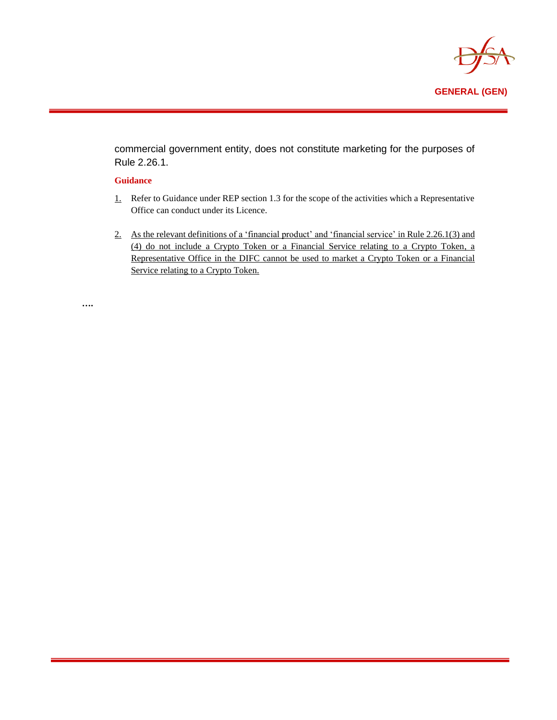

commercial government entity, does not constitute marketing for the purposes of Rule 2.26.1.

### **Guidance**

- 1. Refer to Guidance under REP section 1.3 for the scope of the activities which a Representative Office can conduct under its Licence.
- 2. As the relevant definitions of a 'financial product' and 'financial service' in Rule 2.26.1(3) and (4) do not include a Crypto Token or a Financial Service relating to a Crypto Token, a Representative Office in the DIFC cannot be used to market a Crypto Token or a Financial Service relating to a Crypto Token.

**….**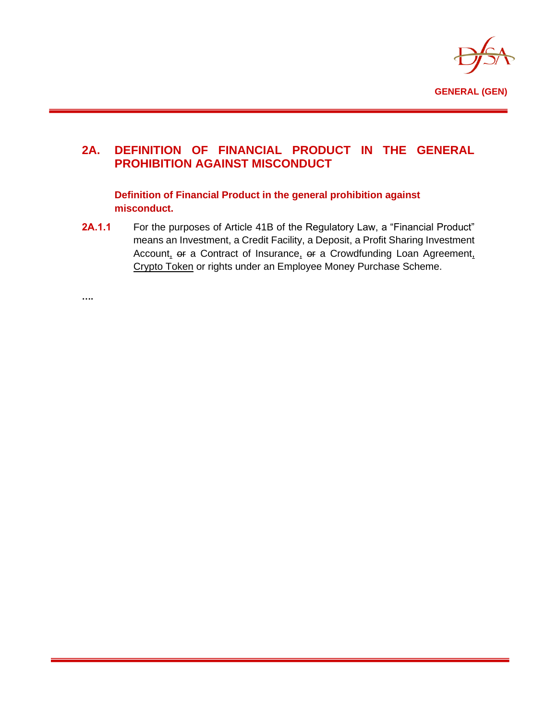

### **2A. DEFINITION OF FINANCIAL PRODUCT IN THE GENERAL PROHIBITION AGAINST MISCONDUCT**

**Definition of Financial Product in the general prohibition against misconduct.**

**2A.1.1** For the purposes of Article 41B of the Regulatory Law, a "Financial Product" means an Investment, a Credit Facility, a Deposit, a Profit Sharing Investment Account, or a Contract of Insurance, or a Crowdfunding Loan Agreement, Crypto Token or rights under an Employee Money Purchase Scheme.

**….**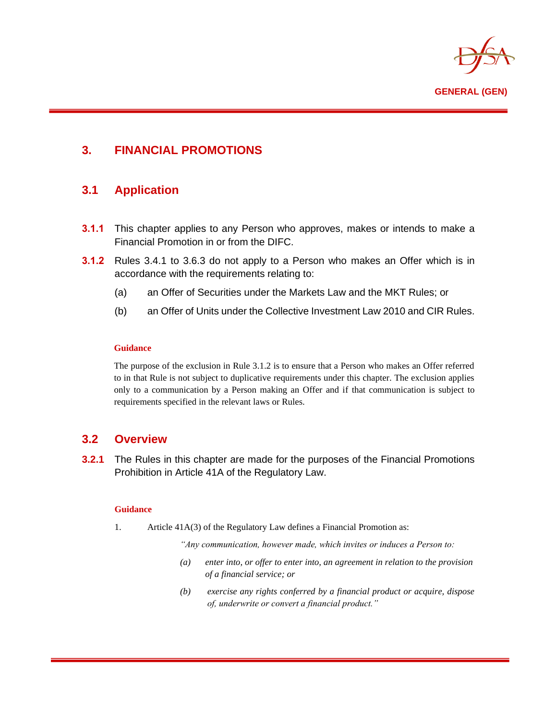

### **3. FINANCIAL PROMOTIONS**

### **3.1 Application**

- **3.1.1** This chapter applies to any Person who approves, makes or intends to make a Financial Promotion in or from the DIFC.
- **3.1.2** Rules 3.4.1 to 3.6.3 do not apply to a Person who makes an Offer which is in accordance with the requirements relating to:
	- (a) an Offer of Securities under the Markets Law and the MKT Rules; or
	- (b) an Offer of Units under the Collective Investment Law 2010 and CIR Rules.

### **Guidance**

The purpose of the exclusion in Rule 3.1.2 is to ensure that a Person who makes an Offer referred to in that Rule is not subject to duplicative requirements under this chapter. The exclusion applies only to a communication by a Person making an Offer and if that communication is subject to requirements specified in the relevant laws or Rules.

### **3.2 Overview**

**3.2.1** The Rules in this chapter are made for the purposes of the Financial Promotions Prohibition in Article 41A of the Regulatory Law.

### **Guidance**

1. Article 41A(3) of the Regulatory Law defines a Financial Promotion as:

*"Any communication, however made, which invites or induces a Person to:*

- *(a) enter into, or offer to enter into, an agreement in relation to the provision of a financial service; or*
- *(b) exercise any rights conferred by a financial product or acquire, dispose of, underwrite or convert a financial product."*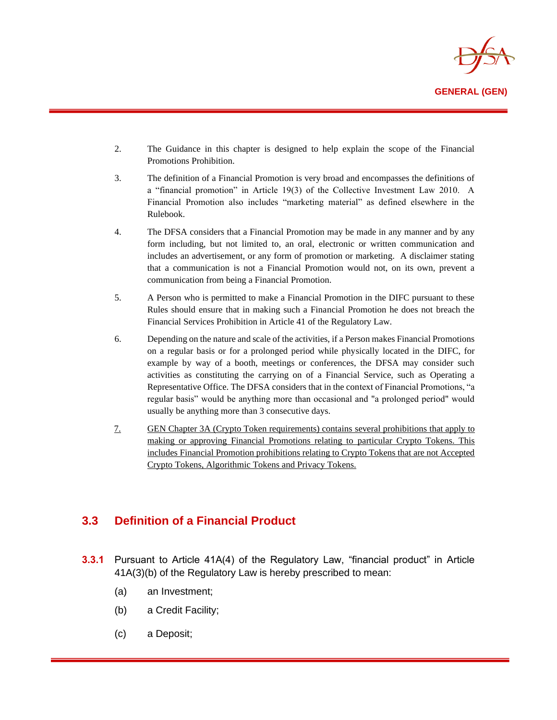

- 2. The Guidance in this chapter is designed to help explain the scope of the Financial Promotions Prohibition.
- 3. The definition of a Financial Promotion is very broad and encompasses the definitions of a "financial promotion" in Article 19(3) of the Collective Investment Law 2010. A Financial Promotion also includes "marketing material" as defined elsewhere in the Rulebook.
- 4. The DFSA considers that a Financial Promotion may be made in any manner and by any form including, but not limited to, an oral, electronic or written communication and includes an advertisement, or any form of promotion or marketing. A disclaimer stating that a communication is not a Financial Promotion would not, on its own, prevent a communication from being a Financial Promotion.
- 5. A Person who is permitted to make a Financial Promotion in the DIFC pursuant to these Rules should ensure that in making such a Financial Promotion he does not breach the Financial Services Prohibition in Article 41 of the Regulatory Law.
- 6. Depending on the nature and scale of the activities, if a Person makes Financial Promotions on a regular basis or for a prolonged period while physically located in the DIFC, for example by way of a booth, meetings or conferences, the DFSA may consider such activities as constituting the carrying on of a Financial Service, such as Operating a Representative Office. The DFSA considers that in the context of Financial Promotions, "a regular basis" would be anything more than occasional and "a prolonged period" would usually be anything more than 3 consecutive days.
- 7. GEN Chapter 3A (Crypto Token requirements) contains several prohibitions that apply to making or approving Financial Promotions relating to particular Crypto Tokens. This includes Financial Promotion prohibitions relating to Crypto Tokens that are not Accepted Crypto Tokens, Algorithmic Tokens and Privacy Tokens.

### **3.3 Definition of a Financial Product**

- **3.3.1** Pursuant to Article 41A(4) of the Regulatory Law, "financial product" in Article 41A(3)(b) of the Regulatory Law is hereby prescribed to mean:
	- (a) an Investment;
	- (b) a Credit Facility;
	- (c) a Deposit;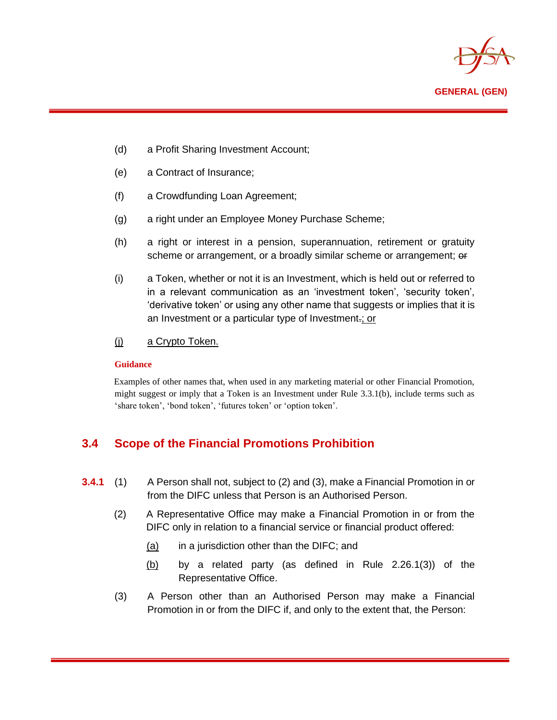

- (d) a Profit Sharing Investment Account;
- (e) a Contract of Insurance;
- (f) a Crowdfunding Loan Agreement;
- (g) a right under an Employee Money Purchase Scheme;
- (h) a right or interest in a pension, superannuation, retirement or gratuity scheme or arrangement, or a broadly similar scheme or arrangement; or
- (i) a Token, whether or not it is an Investment, which is held out or referred to in a relevant communication as an 'investment token', 'security token', 'derivative token' or using any other name that suggests or implies that it is an Investment or a particular type of Investment.; or

### (j) a Crypto Token.

### **Guidance**

Examples of other names that, when used in any marketing material or other Financial Promotion, might suggest or imply that a Token is an Investment under Rule 3.3.1(b), include terms such as 'share token', 'bond token', 'futures token' or 'option token'.

### **3.4 Scope of the Financial Promotions Prohibition**

- **3.4.1** (1) A Person shall not, subject to (2) and (3), make a Financial Promotion in or from the DIFC unless that Person is an Authorised Person.
	- (2) A Representative Office may make a Financial Promotion in or from the DIFC only in relation to a financial service or financial product offered:
		- (a) in a jurisdiction other than the DIFC; and
		- (b) by a related party (as defined in Rule 2.26.1(3)) of the Representative Office.
	- (3) A Person other than an Authorised Person may make a Financial Promotion in or from the DIFC if, and only to the extent that, the Person: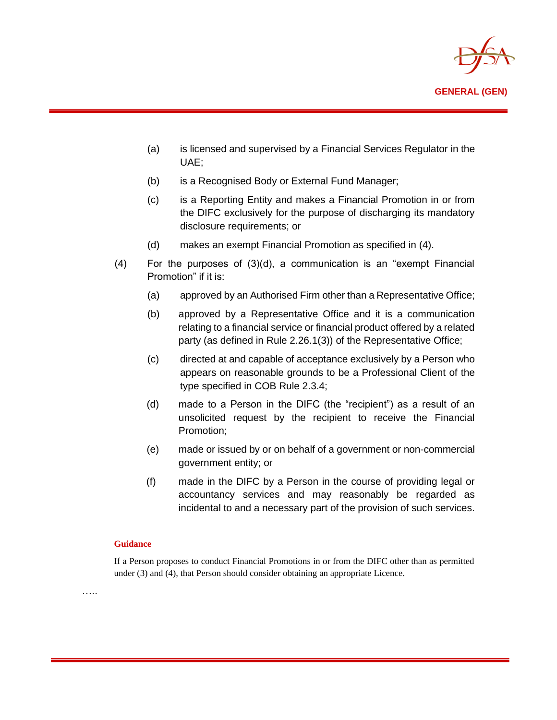

- (a) is licensed and supervised by a Financial Services Regulator in the UAE;
- (b) is a Recognised Body or External Fund Manager;
- (c) is a Reporting Entity and makes a Financial Promotion in or from the DIFC exclusively for the purpose of discharging its mandatory disclosure requirements; or
- (d) makes an exempt Financial Promotion as specified in (4).
- (4) For the purposes of (3)(d), a communication is an "exempt Financial Promotion" if it is:
	- (a) approved by an Authorised Firm other than a Representative Office;
	- (b) approved by a Representative Office and it is a communication relating to a financial service or financial product offered by a related party (as defined in Rule 2.26.1(3)) of the Representative Office;
	- (c) directed at and capable of acceptance exclusively by a Person who appears on reasonable grounds to be a Professional Client of the type specified in COB Rule 2.3.4;
	- (d) made to a Person in the DIFC (the "recipient") as a result of an unsolicited request by the recipient to receive the Financial Promotion;
	- (e) made or issued by or on behalf of a government or non-commercial government entity; or
	- (f) made in the DIFC by a Person in the course of providing legal or accountancy services and may reasonably be regarded as incidental to and a necessary part of the provision of such services.

If a Person proposes to conduct Financial Promotions in or from the DIFC other than as permitted under (3) and (4), that Person should consider obtaining an appropriate Licence.

…..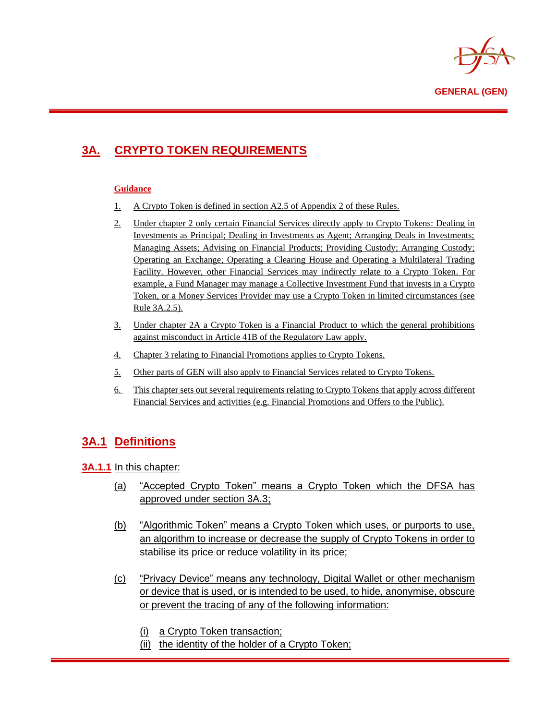

### **3A. CRYPTO TOKEN REQUIREMENTS**

### **Guidance**

- 1. A Crypto Token is defined in section A2.5 of Appendix 2 of these Rules.
- 2. Under chapter 2 only certain Financial Services directly apply to Crypto Tokens: Dealing in Investments as Principal; Dealing in Investments as Agent; Arranging Deals in Investments; Managing Assets; Advising on Financial Products; Providing Custody; Arranging Custody; Operating an Exchange; Operating a Clearing House and Operating a Multilateral Trading Facility. However, other Financial Services may indirectly relate to a Crypto Token. For example, a Fund Manager may manage a Collective Investment Fund that invests in a Crypto Token, or a Money Services Provider may use a Crypto Token in limited circumstances (see Rule 3A.2.5).
- 3. Under chapter 2A a Crypto Token is a Financial Product to which the general prohibitions against misconduct in Article 41B of the Regulatory Law apply.
- 4. Chapter 3 relating to Financial Promotions applies to Crypto Tokens.
- 5. Other parts of GEN will also apply to Financial Services related to Crypto Tokens.
- 6. This chapter sets out several requirements relating to Crypto Tokens that apply across different Financial Services and activities (e.g. Financial Promotions and Offers to the Public).

### **3A.1 Definitions**

**3A.1.1** In this chapter:

- (a) "Accepted Crypto Token" means a Crypto Token which the DFSA has approved under section 3A.3;
- (b) "Algorithmic Token" means a Crypto Token which uses, or purports to use, an algorithm to increase or decrease the supply of Crypto Tokens in order to stabilise its price or reduce volatility in its price;
- (c) "Privacy Device" means any technology, Digital Wallet or other mechanism or device that is used, or is intended to be used, to hide, anonymise, obscure or prevent the tracing of any of the following information:
	- (i) a Crypto Token transaction;
	- (ii) the identity of the holder of a Crypto Token;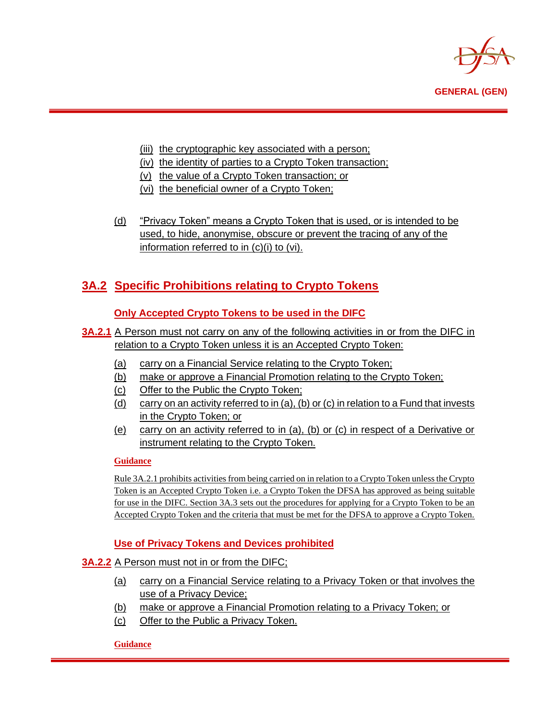

- (iii) the cryptographic key associated with a person;
- (iv) the identity of parties to a Crypto Token transaction;
- (v) the value of a Crypto Token transaction; or
- (vi) the beneficial owner of a Crypto Token;
- (d) "Privacy Token" means a Crypto Token that is used, or is intended to be used, to hide, anonymise, obscure or prevent the tracing of any of the information referred to in (c)(i) to (vi).

### **3A.2 Specific Prohibitions relating to Crypto Tokens**

### **Only Accepted Crypto Tokens to be used in the DIFC**

- **3A.2.1** A Person must not carry on any of the following activities in or from the DIFC in relation to a Crypto Token unless it is an Accepted Crypto Token:
	- (a) carry on a Financial Service relating to the Crypto Token;
	- (b) make or approve a Financial Promotion relating to the Crypto Token;
	- (c) Offer to the Public the Crypto Token;
	- (d) carry on an activity referred to in (a), (b) or (c) in relation to a Fund that invests in the Crypto Token; or
	- (e) carry on an activity referred to in (a), (b) or (c) in respect of a Derivative or instrument relating to the Crypto Token.

### **Guidance**

Rule 3A.2.1 prohibits activities from being carried on in relation to a Crypto Token unless the Crypto Token is an Accepted Crypto Token i.e. a Crypto Token the DFSA has approved as being suitable for use in the DIFC. Section 3A.3 sets out the procedures for applying for a Crypto Token to be an Accepted Crypto Token and the criteria that must be met for the DFSA to approve a Crypto Token.

### **Use of Privacy Tokens and Devices prohibited**

### **3A.2.2** A Person must not in or from the DIFC;

- (a) carry on a Financial Service relating to a Privacy Token or that involves the use of a Privacy Device;
- (b) make or approve a Financial Promotion relating to a Privacy Token; or
- (c) Offer to the Public a Privacy Token.

**Guidance**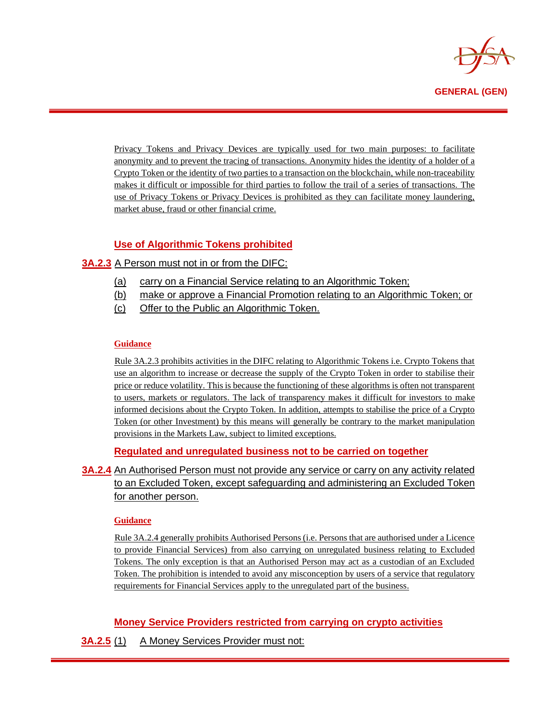

Privacy Tokens and Privacy Devices are typically used for two main purposes: to facilitate anonymity and to prevent the tracing of transactions. Anonymity hides the identity of a holder of a Crypto Token or the identity of two parties to a transaction on the blockchain, while non-traceability makes it difficult or impossible for third parties to follow the trail of a series of transactions. The use of Privacy Tokens or Privacy Devices is prohibited as they can facilitate money laundering, market abuse, fraud or other financial crime.

### **Use of Algorithmic Tokens prohibited**

### **3A.2.3** A Person must not in or from the DIFC:

- (a) carry on a Financial Service relating to an Algorithmic Token;
- (b) make or approve a Financial Promotion relating to an Algorithmic Token; or
- (c) Offer to the Public an Algorithmic Token.

### **Guidance**

Rule 3A.2.3 prohibits activities in the DIFC relating to Algorithmic Tokens i.e. Crypto Tokens that use an algorithm to increase or decrease the supply of the Crypto Token in order to stabilise their price or reduce volatility. This is because the functioning of these algorithms is often not transparent to users, markets or regulators. The lack of transparency makes it difficult for investors to make informed decisions about the Crypto Token. In addition, attempts to stabilise the price of a Crypto Token (or other Investment) by this means will generally be contrary to the market manipulation provisions in the Markets Law, subject to limited exceptions.

**Regulated and unregulated business not to be carried on together**

### **3A.2.4** An Authorised Person must not provide any service or carry on any activity related to an Excluded Token, except safeguarding and administering an Excluded Token for another person.

### **Guidance**

Rule 3A.2.4 generally prohibits Authorised Persons (i.e. Persons that are authorised under a Licence to provide Financial Services) from also carrying on unregulated business relating to Excluded Tokens. The only exception is that an Authorised Person may act as a custodian of an Excluded Token. The prohibition is intended to avoid any misconception by users of a service that regulatory requirements for Financial Services apply to the unregulated part of the business.

### **Money Service Providers restricted from carrying on crypto activities**

**3A.2.5** (1) A Money Services Provider must not: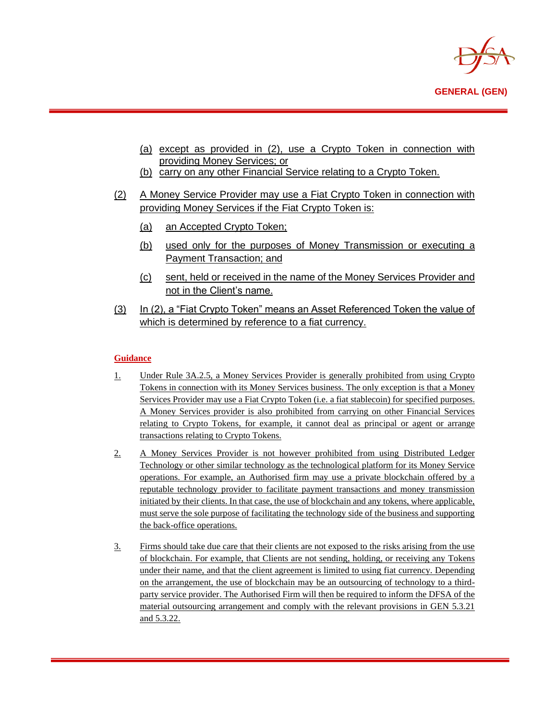

- (a) except as provided in (2), use a Crypto Token in connection with providing Money Services; or
- (b) carry on any other Financial Service relating to a Crypto Token.
- (2) A Money Service Provider may use a Fiat Crypto Token in connection with providing Money Services if the Fiat Crypto Token is:
	- (a) an Accepted Crypto Token;
	- (b) used only for the purposes of Money Transmission or executing a Payment Transaction; and
	- (c) sent, held or received in the name of the Money Services Provider and not in the Client's name.
- (3) In (2), a "Fiat Crypto Token" means an Asset Referenced Token the value of which is determined by reference to a fiat currency.

- 1. Under Rule 3A.2.5, a Money Services Provider is generally prohibited from using Crypto Tokens in connection with its Money Services business. The only exception is that a Money Services Provider may use a Fiat Crypto Token (i.e. a fiat stablecoin) for specified purposes. A Money Services provider is also prohibited from carrying on other Financial Services relating to Crypto Tokens, for example, it cannot deal as principal or agent or arrange transactions relating to Crypto Tokens.
- 2. A Money Services Provider is not however prohibited from using Distributed Ledger Technology or other similar technology as the technological platform for its Money Service operations. For example, an Authorised firm may use a private blockchain offered by a reputable technology provider to facilitate payment transactions and money transmission initiated by their clients. In that case, the use of blockchain and any tokens, where applicable, must serve the sole purpose of facilitating the technology side of the business and supporting the back-office operations.
- 3. Firms should take due care that their clients are not exposed to the risks arising from the use of blockchain. For example, that Clients are not sending, holding, or receiving any Tokens under their name, and that the client agreement is limited to using fiat currency. Depending on the arrangement, the use of blockchain may be an outsourcing of technology to a thirdparty service provider. The Authorised Firm will then be required to inform the DFSA of the material outsourcing arrangement and comply with the relevant provisions in GEN 5.3.21 and 5.3.22.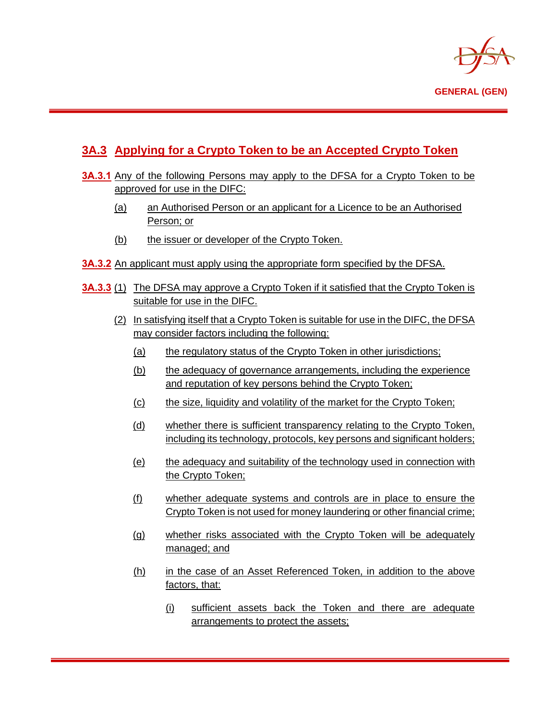

### **3A.3 Applying for a Crypto Token to be an Accepted Crypto Token**

- **3A.3.1** Any of the following Persons may apply to the DFSA for a Crypto Token to be approved for use in the DIFC:
	- (a) an Authorised Person or an applicant for a Licence to be an Authorised Person; or
	- (b) the issuer or developer of the Crypto Token.
- **3A.3.2** An applicant must apply using the appropriate form specified by the DFSA.
- **3A.3.3** (1) The DFSA may approve a Crypto Token if it satisfied that the Crypto Token is suitable for use in the DIFC.
	- (2) In satisfying itself that a Crypto Token is suitable for use in the DIFC, the DFSA may consider factors including the following:
		- (a) the regulatory status of the Crypto Token in other jurisdictions;
		- (b) the adequacy of governance arrangements, including the experience and reputation of key persons behind the Crypto Token;
		- (c) the size, liquidity and volatility of the market for the Crypto Token;
		- (d) whether there is sufficient transparency relating to the Crypto Token, including its technology, protocols, key persons and significant holders;
		- (e) the adequacy and suitability of the technology used in connection with the Crypto Token;
		- (f) whether adequate systems and controls are in place to ensure the Crypto Token is not used for money laundering or other financial crime;
		- (g) whether risks associated with the Crypto Token will be adequately managed; and
		- (h) in the case of an Asset Referenced Token, in addition to the above factors, that:
			- (i) sufficient assets back the Token and there are adequate arrangements to protect the assets;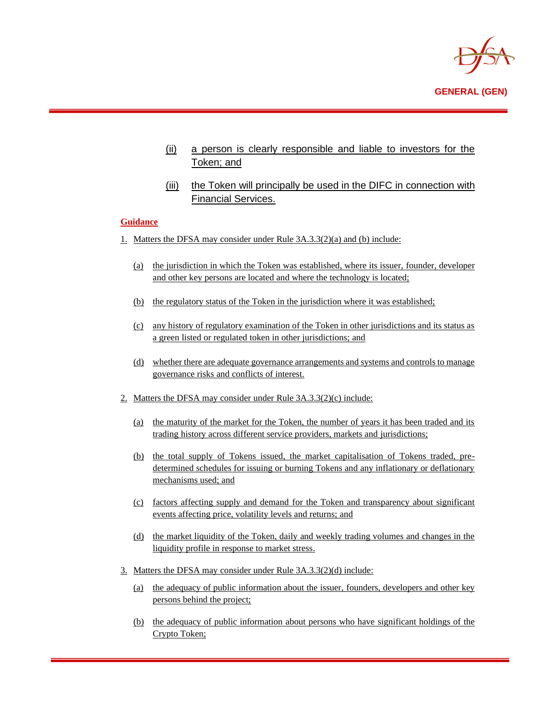

- (ii) a person is clearly responsible and liable to investors for the Token; and
- (iii) the Token will principally be used in the DIFC in connection with Financial Services.

- 1. Matters the DFSA may consider under Rule 3A.3.3(2)(a) and (b) include:
	- (a) the jurisdiction in which the Token was established, where its issuer, founder, developer and other key persons are located and where the technology is located;
	- (b) the regulatory status of the Token in the jurisdiction where it was established;
	- (c) any history of regulatory examination of the Token in other jurisdictions and its status as a green listed or regulated token in other jurisdictions; and
	- (d) whether there are adequate governance arrangements and systems and controls to manage governance risks and conflicts of interest.
- 2. Matters the DFSA may consider under Rule 3A.3.3(2)(c) include:
	- (a) the maturity of the market for the Token, the number of years it has been traded and its trading history across different service providers, markets and jurisdictions;
	- (b) the total supply of Tokens issued, the market capitalisation of Tokens traded, predetermined schedules for issuing or burning Tokens and any inflationary or deflationary mechanisms used; and
	- (c) factors affecting supply and demand for the Token and transparency about significant events affecting price, volatility levels and returns; and
	- (d) the market liquidity of the Token, daily and weekly trading volumes and changes in the liquidity profile in response to market stress.
- 3. Matters the DFSA may consider under Rule 3A.3.3(2)(d) include:
	- (a) the adequacy of public information about the issuer, founders, developers and other key persons behind the project;
	- (b) the adequacy of public information about persons who have significant holdings of the Crypto Token;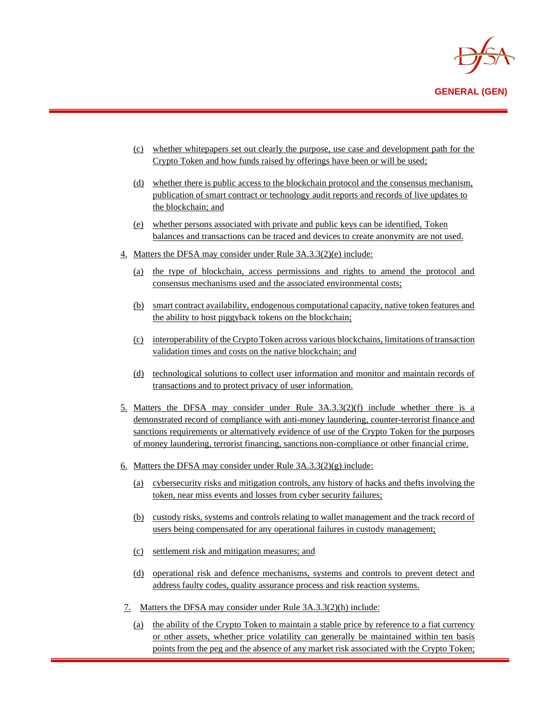

- (c) whether whitepapers set out clearly the purpose, use case and development path for the Crypto Token and how funds raised by offerings have been or will be used;
- (d) whether there is public access to the blockchain protocol and the consensus mechanism, publication of smart contract or technology audit reports and records of live updates to the blockchain; and
- (e) whether persons associated with private and public keys can be identified, Token balances and transactions can be traced and devices to create anonymity are not used.
- 4. Matters the DFSA may consider under Rule 3A.3.3(2)(e) include:
	- (a) the type of blockchain, access permissions and rights to amend the protocol and consensus mechanisms used and the associated environmental costs;
	- (b) smart contract availability, endogenous computational capacity, native token features and the ability to host piggyback tokens on the blockchain;
	- (c) interoperability of the Crypto Token across various blockchains, limitations of transaction validation times and costs on the native blockchain; and
	- (d) technological solutions to collect user information and monitor and maintain records of transactions and to protect privacy of user information.
- 5. Matters the DFSA may consider under Rule 3A.3.3(2)(f) include whether there is a demonstrated record of compliance with anti-money laundering, counter-terrorist finance and sanctions requirements or alternatively evidence of use of the Crypto Token for the purposes of money laundering, terrorist financing, sanctions non-compliance or other financial crime.
- 6. Matters the DFSA may consider under Rule 3A.3.3(2)(g) include:
	- (a) cybersecurity risks and mitigation controls, any history of hacks and thefts involving the token, near miss events and losses from cyber security failures;
	- (b) custody risks, systems and controls relating to wallet management and the track record of users being compensated for any operational failures in custody management;
	- (c) settlement risk and mitigation measures; and
	- (d) operational risk and defence mechanisms, systems and controls to prevent detect and address faulty codes, quality assurance process and risk reaction systems.
- 7. Matters the DFSA may consider under Rule 3A.3.3(2)(h) include:
	- (a) the ability of the Crypto Token to maintain a stable price by reference to a fiat currency or other assets, whether price volatility can generally be maintained within ten basis points from the peg and the absence of any market risk associated with the Crypto Token;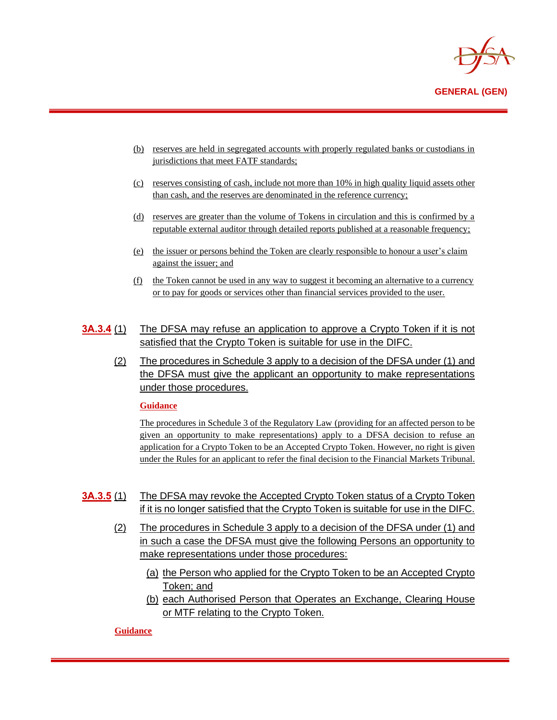

- (b) reserves are held in segregated accounts with properly regulated banks or custodians in jurisdictions that meet FATF standards;
- (c) reserves consisting of cash, include not more than 10% in high quality liquid assets other than cash, and the reserves are denominated in the reference currency;
- (d) reserves are greater than the volume of Tokens in circulation and this is confirmed by a reputable external auditor through detailed reports published at a reasonable frequency;
- (e) the issuer or persons behind the Token are clearly responsible to honour a user's claim against the issuer; and
- (f) the Token cannot be used in any way to suggest it becoming an alternative to a currency or to pay for goods or services other than financial services provided to the user.
- **3A.3.4** (1) The DFSA may refuse an application to approve a Crypto Token if it is not satisfied that the Crypto Token is suitable for use in the DIFC.
	- (2) The procedures in Schedule 3 apply to a decision of the DFSA under (1) and the DFSA must give the applicant an opportunity to make representations under those procedures.

The procedures in Schedule 3 of the Regulatory Law (providing for an affected person to be given an opportunity to make representations) apply to a DFSA decision to refuse an application for a Crypto Token to be an Accepted Crypto Token. However, no right is given under the Rules for an applicant to refer the final decision to the Financial Markets Tribunal.

- **3A.3.5** (1) The DFSA may revoke the Accepted Crypto Token status of a Crypto Token if it is no longer satisfied that the Crypto Token is suitable for use in the DIFC.
	- (2) The procedures in Schedule 3 apply to a decision of the DFSA under (1) and in such a case the DFSA must give the following Persons an opportunity to make representations under those procedures:
		- (a) the Person who applied for the Crypto Token to be an Accepted Crypto Token; and
		- (b) each Authorised Person that Operates an Exchange, Clearing House or MTF relating to the Crypto Token.

### **Guidance**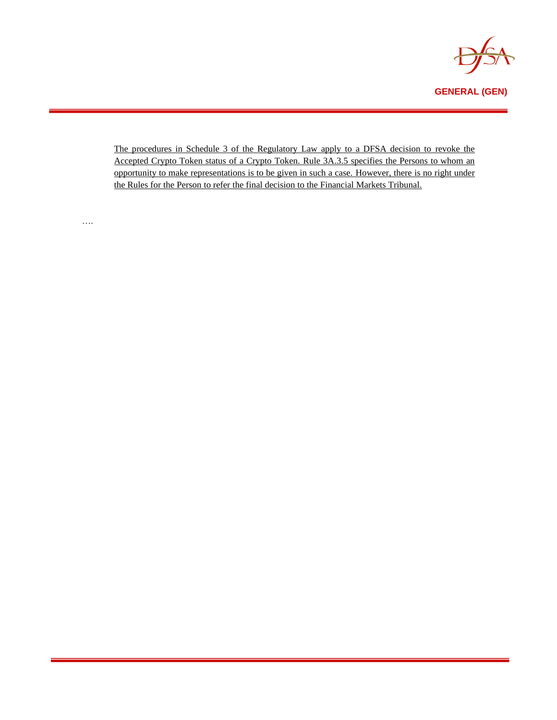

The procedures in Schedule 3 of the Regulatory Law apply to a DFSA decision to revoke the Accepted Crypto Token status of a Crypto Token. Rule 3A.3.5 specifies the Persons to whom an opportunity to make representations is to be given in such a case. However, there is no right under the Rules for the Person to refer the final decision to the Financial Markets Tribunal.

….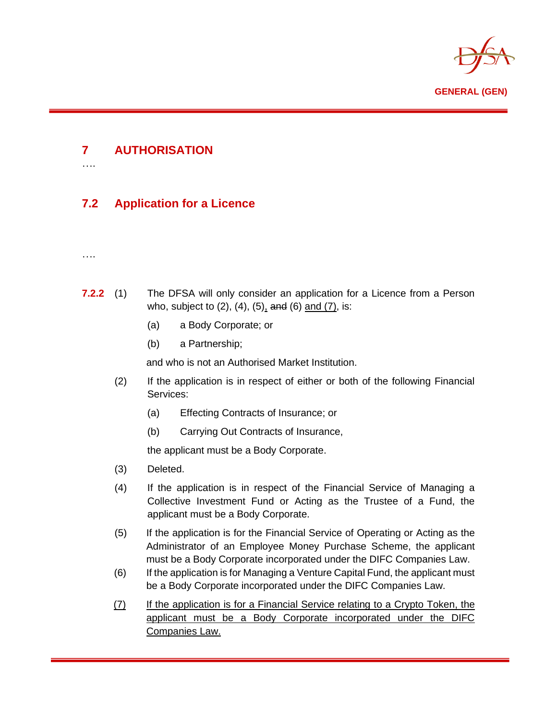

### **7 AUTHORISATION**

### **7.2 Application for a Licence**

#### ….

….

- **7.2.2** (1) The DFSA will only consider an application for a Licence from a Person who, subject to  $(2)$ ,  $(4)$ ,  $(5)$ , and  $(6)$  and  $(7)$ , is:
	- (a) a Body Corporate; or
	- (b) a Partnership;

and who is not an Authorised Market Institution.

- (2) If the application is in respect of either or both of the following Financial Services:
	- (a) Effecting Contracts of Insurance; or
	- (b) Carrying Out Contracts of Insurance,

the applicant must be a Body Corporate.

- (3) Deleted.
- (4) If the application is in respect of the Financial Service of Managing a Collective Investment Fund or Acting as the Trustee of a Fund, the applicant must be a Body Corporate.
- (5) If the application is for the Financial Service of Operating or Acting as the Administrator of an Employee Money Purchase Scheme, the applicant must be a Body Corporate incorporated under the DIFC Companies Law.
- (6) If the application is for Managing a Venture Capital Fund, the applicant must be a Body Corporate incorporated under the DIFC Companies Law.
- (7) If the application is for a Financial Service relating to a Crypto Token, the applicant must be a Body Corporate incorporated under the DIFC Companies Law.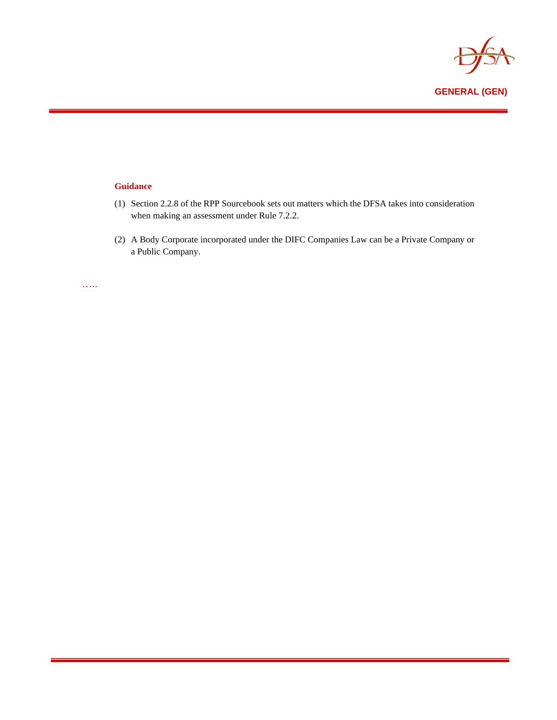

- (1) Section 2.2.8 of the RPP Sourcebook sets out matters which the DFSA takes into consideration when making an assessment under Rule 7.2.2.
- (2) A Body Corporate incorporated under the DIFC Companies Law can be a Private Company or a Public Company.

…..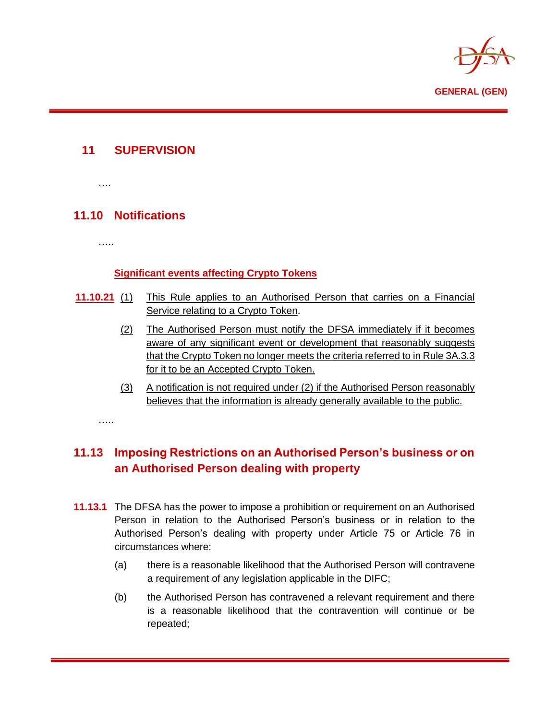

### **11 SUPERVISION**

….

### **11.10 Notifications**

……

### **Significant events affecting Crypto Tokens**

- **11.10.21** (1) This Rule applies to an Authorised Person that carries on a Financial Service relating to a Crypto Token.
	- (2) The Authorised Person must notify the DFSA immediately if it becomes aware of any significant event or development that reasonably suggests that the Crypto Token no longer meets the criteria referred to in Rule 3A.3.3 for it to be an Accepted Crypto Token.
	- (3) A notification is not required under (2) if the Authorised Person reasonably believes that the information is already generally available to the public.

…..

### **11.13 Imposing Restrictions on an Authorised Person's business or on an Authorised Person dealing with property**

- **11.13.1** The DFSA has the power to impose a prohibition or requirement on an Authorised Person in relation to the Authorised Person's business or in relation to the Authorised Person's dealing with property under Article 75 or Article 76 in circumstances where:
	- (a) there is a reasonable likelihood that the Authorised Person will contravene a requirement of any legislation applicable in the DIFC;
	- (b) the Authorised Person has contravened a relevant requirement and there is a reasonable likelihood that the contravention will continue or be repeated;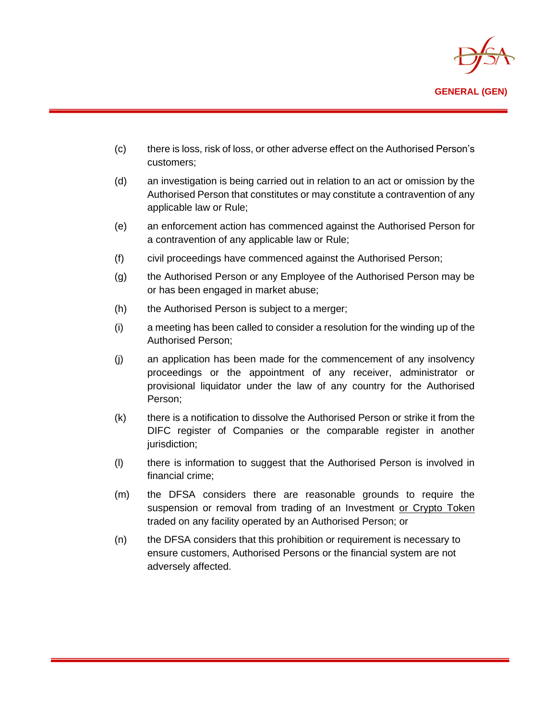

- (c) there is loss, risk of loss, or other adverse effect on the Authorised Person's customers;
- (d) an investigation is being carried out in relation to an act or omission by the Authorised Person that constitutes or may constitute a contravention of any applicable law or Rule;
- (e) an enforcement action has commenced against the Authorised Person for a contravention of any applicable law or Rule;
- (f) civil proceedings have commenced against the Authorised Person;
- (g) the Authorised Person or any Employee of the Authorised Person may be or has been engaged in market abuse;
- (h) the Authorised Person is subject to a merger;
- (i) a meeting has been called to consider a resolution for the winding up of the Authorised Person;
- (j) an application has been made for the commencement of any insolvency proceedings or the appointment of any receiver, administrator or provisional liquidator under the law of any country for the Authorised Person;
- (k) there is a notification to dissolve the Authorised Person or strike it from the DIFC register of Companies or the comparable register in another jurisdiction;
- (l) there is information to suggest that the Authorised Person is involved in financial crime;
- (m) the DFSA considers there are reasonable grounds to require the suspension or removal from trading of an Investment or Crypto Token traded on any facility operated by an Authorised Person; or
- (n) the DFSA considers that this prohibition or requirement is necessary to ensure customers, Authorised Persons or the financial system are not adversely affected.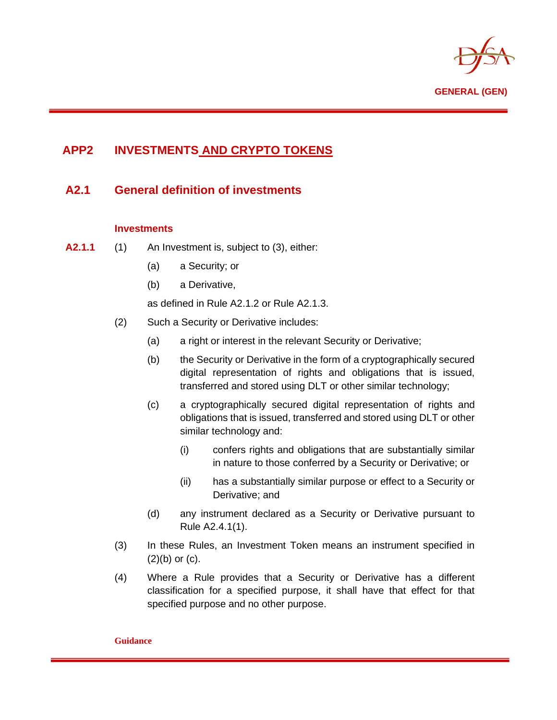

### **APP2 INVESTMENTS AND CRYPTO TOKENS**

### **A2.1 General definition of investments**

### **Investments**

- **A2.1.1** (1) An Investment is, subject to (3), either:
	- (a) a Security; or
	- (b) a Derivative,

as defined in Rule A2.1.2 or Rule A2.1.3.

- (2) Such a Security or Derivative includes:
	- (a) a right or interest in the relevant Security or Derivative;
	- (b) the Security or Derivative in the form of a cryptographically secured digital representation of rights and obligations that is issued, transferred and stored using DLT or other similar technology;
	- (c) a cryptographically secured digital representation of rights and obligations that is issued, transferred and stored using DLT or other similar technology and:
		- (i) confers rights and obligations that are substantially similar in nature to those conferred by a Security or Derivative; or
		- (ii) has a substantially similar purpose or effect to a Security or Derivative; and
	- (d) any instrument declared as a Security or Derivative pursuant to Rule A2.4.1(1).
- (3) In these Rules, an Investment Token means an instrument specified in  $(2)(b)$  or  $(c)$ .
- (4) Where a Rule provides that a Security or Derivative has a different classification for a specified purpose, it shall have that effect for that specified purpose and no other purpose.

#### **Guidance**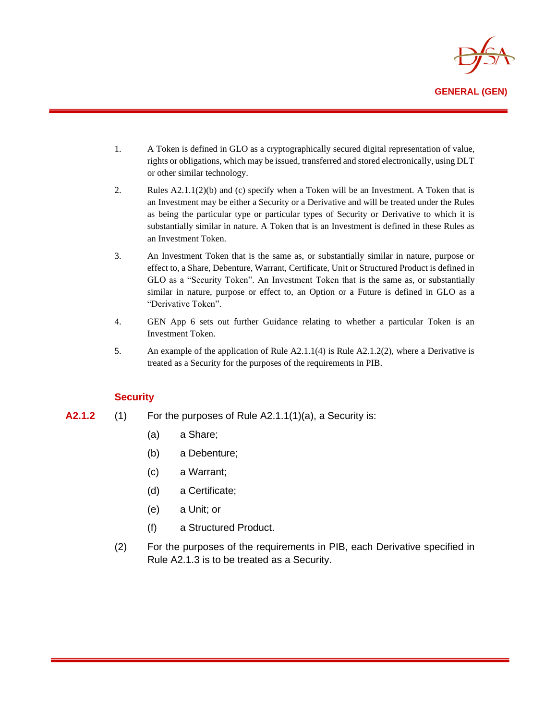

- 1. A Token is defined in GLO as a cryptographically secured digital representation of value, rights or obligations, which may be issued, transferred and stored electronically, using DLT or other similar technology.
- 2. Rules  $A2.1.1(2)(b)$  and (c) specify when a Token will be an Investment. A Token that is an Investment may be either a Security or a Derivative and will be treated under the Rules as being the particular type or particular types of Security or Derivative to which it is substantially similar in nature. A Token that is an Investment is defined in these Rules as an Investment Token.
- 3. An Investment Token that is the same as, or substantially similar in nature, purpose or effect to, a Share, Debenture, Warrant, Certificate, Unit or Structured Product is defined in GLO as a "Security Token". An Investment Token that is the same as, or substantially similar in nature, purpose or effect to, an Option or a Future is defined in GLO as a "Derivative Token".
- 4. GEN App 6 sets out further Guidance relating to whether a particular Token is an Investment Token.
- 5. An example of the application of Rule A2.1.1(4) is Rule A2.1.2(2), where a Derivative is treated as a Security for the purposes of the requirements in PIB.

### **Security**

- **A2.1.2** (1) For the purposes of Rule A2.1.1(1)(a), a Security is:
	- (a) a Share;
	- (b) a Debenture;
	- (c) a Warrant;
	- (d) a Certificate;
	- (e) a Unit; or
	- (f) a Structured Product.
	- (2) For the purposes of the requirements in PIB, each Derivative specified in Rule A2.1.3 is to be treated as a Security.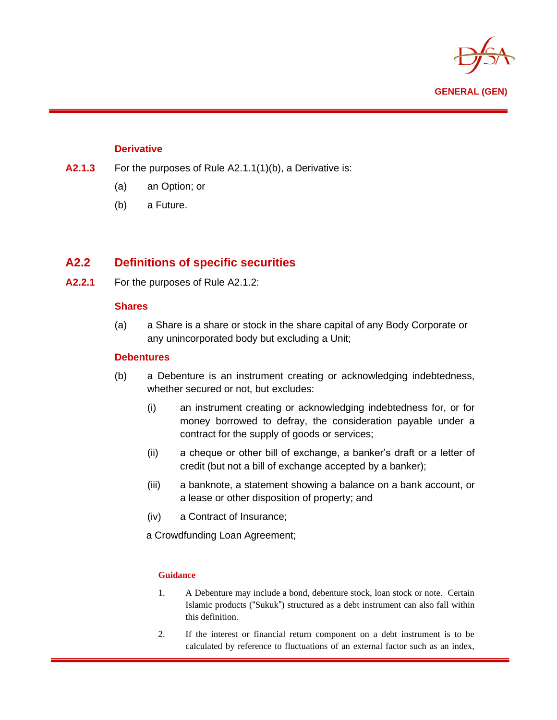

### **Derivative**

- **A2.1.3** For the purposes of Rule A2.1.1(1)(b), a Derivative is:
	- (a) an Option; or
	- (b) a Future.

### **A2.2 Definitions of specific securities**

**A2.2.1** For the purposes of Rule A2.1.2:

### **Shares**

(a) a Share is a share or stock in the share capital of any Body Corporate or any unincorporated body but excluding a Unit;

### **Debentures**

- (b) a Debenture is an instrument creating or acknowledging indebtedness, whether secured or not, but excludes:
	- (i) an instrument creating or acknowledging indebtedness for, or for money borrowed to defray, the consideration payable under a contract for the supply of goods or services;
	- (ii) a cheque or other bill of exchange, a banker's draft or a letter of credit (but not a bill of exchange accepted by a banker);
	- (iii) a banknote, a statement showing a balance on a bank account, or a lease or other disposition of property; and
	- (iv) a Contract of Insurance;

a Crowdfunding Loan Agreement;

### **Guidance**

- 1. A Debenture may include a bond, debenture stock, loan stock or note. Certain Islamic products ("Sukuk") structured as a debt instrument can also fall within this definition.
- 2. If the interest or financial return component on a debt instrument is to be calculated by reference to fluctuations of an external factor such as an index,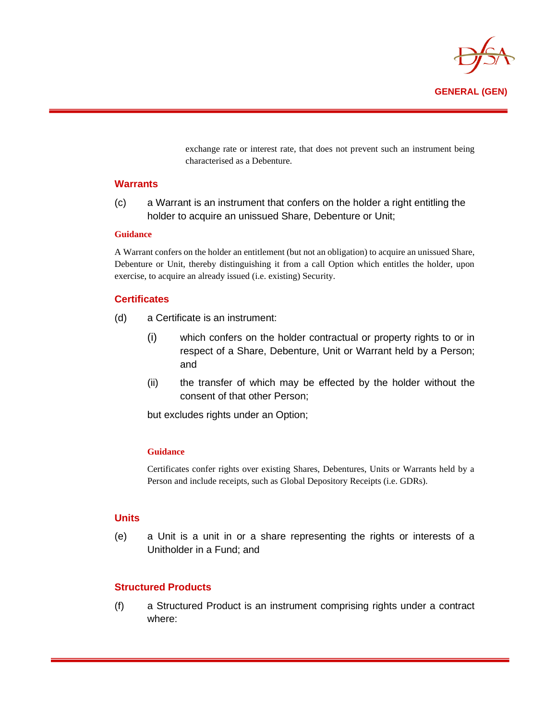

exchange rate or interest rate, that does not prevent such an instrument being characterised as a Debenture.

### **Warrants**

(c) a Warrant is an instrument that confers on the holder a right entitling the holder to acquire an unissued Share, Debenture or Unit;

### **Guidance**

A Warrant confers on the holder an entitlement (but not an obligation) to acquire an unissued Share, Debenture or Unit, thereby distinguishing it from a call Option which entitles the holder, upon exercise, to acquire an already issued (i.e. existing) Security.

### **Certificates**

- (d) a Certificate is an instrument:
	- (i) which confers on the holder contractual or property rights to or in respect of a Share, Debenture, Unit or Warrant held by a Person; and
	- (ii) the transfer of which may be effected by the holder without the consent of that other Person;

but excludes rights under an Option;

### **Guidance**

Certificates confer rights over existing Shares, Debentures, Units or Warrants held by a Person and include receipts, such as Global Depository Receipts (i.e. GDRs).

### **Units**

(e) a Unit is a unit in or a share representing the rights or interests of a Unitholder in a Fund; and

### **Structured Products**

(f) a Structured Product is an instrument comprising rights under a contract where: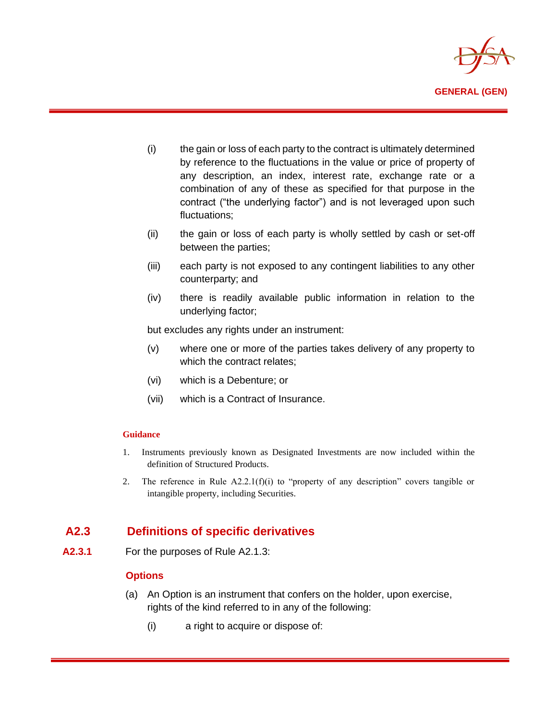

- (i) the gain or loss of each party to the contract is ultimately determined by reference to the fluctuations in the value or price of property of any description, an index, interest rate, exchange rate or a combination of any of these as specified for that purpose in the contract ("the underlying factor") and is not leveraged upon such fluctuations;
- (ii) the gain or loss of each party is wholly settled by cash or set-off between the parties;
- (iii) each party is not exposed to any contingent liabilities to any other counterparty; and
- (iv) there is readily available public information in relation to the underlying factor;

but excludes any rights under an instrument:

- (v) where one or more of the parties takes delivery of any property to which the contract relates;
- (vi) which is a Debenture; or
- (vii) which is a Contract of Insurance.

### **Guidance**

- 1. Instruments previously known as Designated Investments are now included within the definition of Structured Products.
- 2. The reference in Rule  $A2.2.1(f)(i)$  to "property of any description" covers tangible or intangible property, including Securities.

### **A2.3 Definitions of specific derivatives**

**A2.3.1** For the purposes of Rule A2.1.3:

### **Options**

- (a) An Option is an instrument that confers on the holder, upon exercise, rights of the kind referred to in any of the following:
	- (i) a right to acquire or dispose of: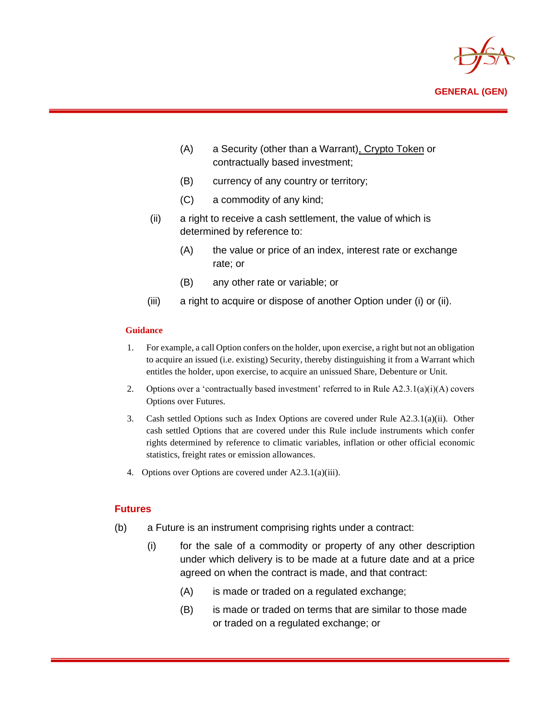

- (A) a Security (other than a Warrant), Crypto Token or contractually based investment;
- (B) currency of any country or territory;
- (C) a commodity of any kind;
- (ii) a right to receive a cash settlement, the value of which is determined by reference to:
	- (A) the value or price of an index, interest rate or exchange rate; or
	- (B) any other rate or variable; or
- (iii) a right to acquire or dispose of another Option under (i) or (ii).

- 1. For example, a call Option confers on the holder, upon exercise, a right but not an obligation to acquire an issued (i.e. existing) Security, thereby distinguishing it from a Warrant which entitles the holder, upon exercise, to acquire an unissued Share, Debenture or Unit.
- 2. Options over a 'contractually based investment' referred to in Rule  $A2.3.1(a)(i)(A)$  covers Options over Futures.
- 3. Cash settled Options such as Index Options are covered under Rule A2.3.1(a)(ii). Other cash settled Options that are covered under this Rule include instruments which confer rights determined by reference to climatic variables, inflation or other official economic statistics, freight rates or emission allowances.
- 4. Options over Options are covered under A2.3.1(a)(iii).

### **Futures**

- (b) a Future is an instrument comprising rights under a contract:
	- (i) for the sale of a commodity or property of any other description under which delivery is to be made at a future date and at a price agreed on when the contract is made, and that contract:
		- (A) is made or traded on a regulated exchange;
		- (B) is made or traded on terms that are similar to those made or traded on a regulated exchange; or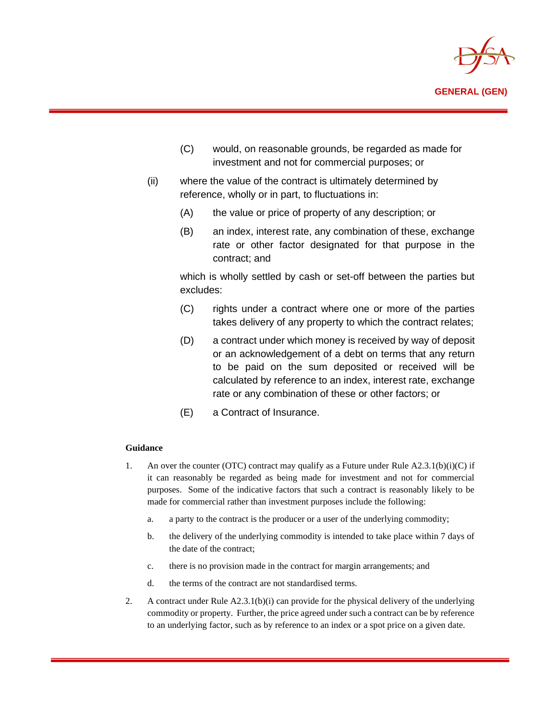

- (C) would, on reasonable grounds, be regarded as made for investment and not for commercial purposes; or
- (ii) where the value of the contract is ultimately determined by reference, wholly or in part, to fluctuations in:
	- (A) the value or price of property of any description; or
	- (B) an index, interest rate, any combination of these, exchange rate or other factor designated for that purpose in the contract; and

which is wholly settled by cash or set-off between the parties but excludes:

- (C) rights under a contract where one or more of the parties takes delivery of any property to which the contract relates;
- (D) a contract under which money is received by way of deposit or an acknowledgement of a debt on terms that any return to be paid on the sum deposited or received will be calculated by reference to an index, interest rate, exchange rate or any combination of these or other factors; or
- (E) a Contract of Insurance.

#### **Guidance**

- 1. An over the counter (OTC) contract may qualify as a Future under Rule  $A2.3.1(b)(i)(C)$  if it can reasonably be regarded as being made for investment and not for commercial purposes. Some of the indicative factors that such a contract is reasonably likely to be made for commercial rather than investment purposes include the following:
	- a. a party to the contract is the producer or a user of the underlying commodity;
	- b. the delivery of the underlying commodity is intended to take place within 7 days of the date of the contract;
	- c. there is no provision made in the contract for margin arrangements; and
	- d. the terms of the contract are not standardised terms.
- 2. A contract under Rule A2.3.1(b)(i) can provide for the physical delivery of the underlying commodity or property. Further, the price agreed under such a contract can be by reference to an underlying factor, such as by reference to an index or a spot price on a given date.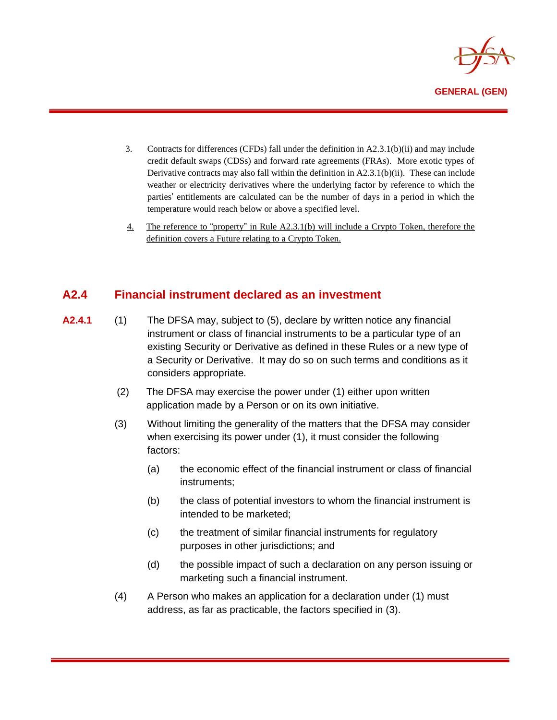

- 3. Contracts for differences (CFDs) fall under the definition in A2.3.1(b)(ii) and may include credit default swaps (CDSs) and forward rate agreements (FRAs). More exotic types of Derivative contracts may also fall within the definition in  $A2.3.1(b)(ii)$ . These can include weather or electricity derivatives where the underlying factor by reference to which the parties' entitlements are calculated can be the number of days in a period in which the temperature would reach below or above a specified level.
- 4. The reference to "property" in Rule A2.3.1(b) will include a Crypto Token, therefore the definition covers a Future relating to a Crypto Token.

### **A2.4 Financial instrument declared as an investment**

- **A2.4.1** (1) The DFSA may, subject to (5), declare by written notice any financial instrument or class of financial instruments to be a particular type of an existing Security or Derivative as defined in these Rules or a new type of a Security or Derivative. It may do so on such terms and conditions as it considers appropriate.
	- (2) The DFSA may exercise the power under (1) either upon written application made by a Person or on its own initiative.
	- (3) Without limiting the generality of the matters that the DFSA may consider when exercising its power under (1), it must consider the following factors:
		- (a) the economic effect of the financial instrument or class of financial instruments;
		- (b) the class of potential investors to whom the financial instrument is intended to be marketed;
		- (c) the treatment of similar financial instruments for regulatory purposes in other jurisdictions; and
		- (d) the possible impact of such a declaration on any person issuing or marketing such a financial instrument.
	- (4) A Person who makes an application for a declaration under (1) must address, as far as practicable, the factors specified in (3).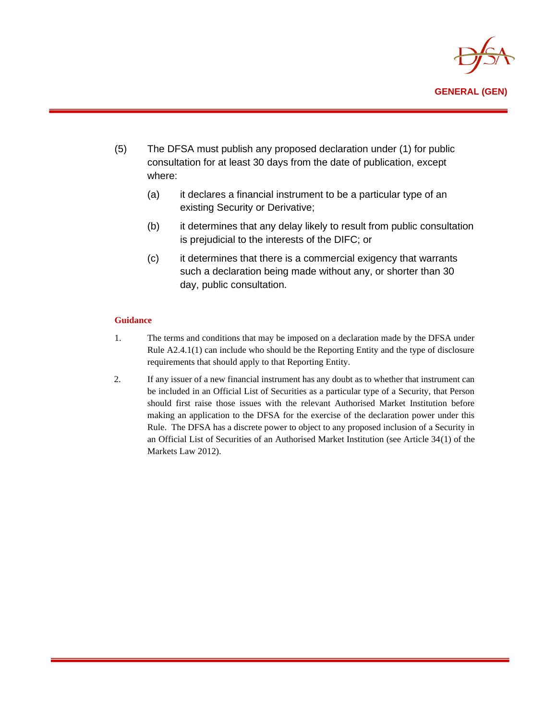

- (5) The DFSA must publish any proposed declaration under (1) for public consultation for at least 30 days from the date of publication, except where:
	- (a) it declares a financial instrument to be a particular type of an existing Security or Derivative;
	- (b) it determines that any delay likely to result from public consultation is prejudicial to the interests of the DIFC; or
	- (c) it determines that there is a commercial exigency that warrants such a declaration being made without any, or shorter than 30 day, public consultation.

- 1. The terms and conditions that may be imposed on a declaration made by the DFSA under Rule A2.4.1(1) can include who should be the Reporting Entity and the type of disclosure requirements that should apply to that Reporting Entity.
- 2. If any issuer of a new financial instrument has any doubt as to whether that instrument can be included in an Official List of Securities as a particular type of a Security, that Person should first raise those issues with the relevant Authorised Market Institution before making an application to the DFSA for the exercise of the declaration power under this Rule. The DFSA has a discrete power to object to any proposed inclusion of a Security in an Official List of Securities of an Authorised Market Institution (see Article 34(1) of the Markets Law 2012).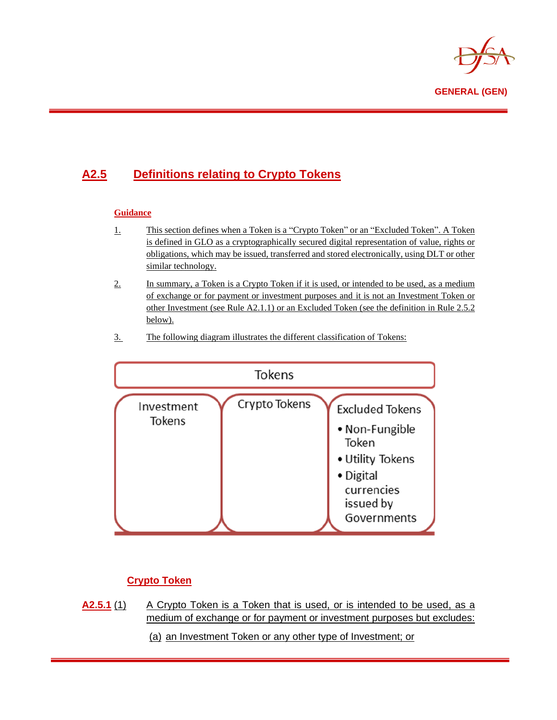

### **A2.5 Definitions relating to Crypto Tokens**

### **Guidance**

- 1. This section defines when a Token is a "Crypto Token" or an "Excluded Token". A Token is defined in GLO as a cryptographically secured digital representation of value, rights or obligations, which may be issued, transferred and stored electronically, using DLT or other similar technology.
- 2. In summary, a Token is a Crypto Token if it is used, or intended to be used, as a medium of exchange or for payment or investment purposes and it is not an Investment Token or other Investment (see Rule A2.1.1) or an Excluded Token (see the definition in Rule 2.5.2 below).
- 3. The following diagram illustrates the different classification of Tokens:



### **Crypto Token**

**A2.5.1** (1) A Crypto Token is a Token that is used, or is intended to be used, as a medium of exchange or for payment or investment purposes but excludes:

(a) an Investment Token or any other type of Investment; or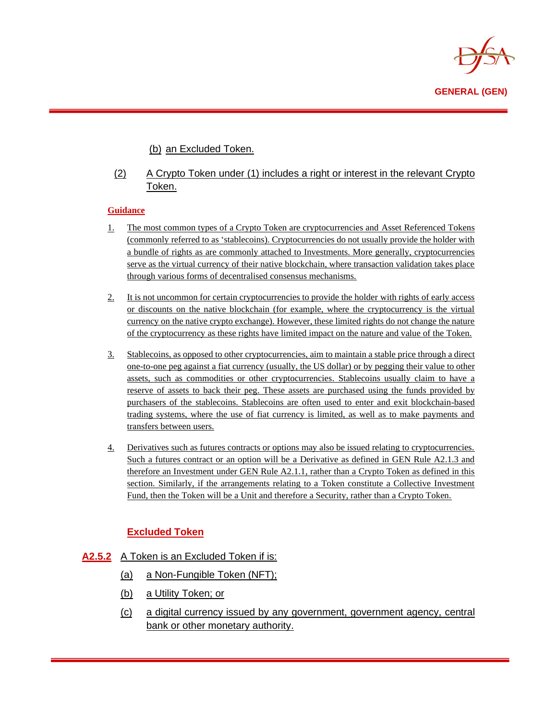

### (b) an Excluded Token.

### (2) A Crypto Token under (1) includes a right or interest in the relevant Crypto Token.

### **Guidance**

- 1. The most common types of a Crypto Token are cryptocurrencies and Asset Referenced Tokens (commonly referred to as 'stablecoins). Cryptocurrencies do not usually provide the holder with a bundle of rights as are commonly attached to Investments. More generally, cryptocurrencies serve as the virtual currency of their native blockchain, where transaction validation takes place through various forms of decentralised consensus mechanisms.
- 2. It is not uncommon for certain cryptocurrencies to provide the holder with rights of early access or discounts on the native blockchain (for example, where the cryptocurrency is the virtual currency on the native crypto exchange). However, these limited rights do not change the nature of the cryptocurrency as these rights have limited impact on the nature and value of the Token.
- 3. Stablecoins, as opposed to other cryptocurrencies, aim to maintain a stable price through a direct one-to-one peg against a fiat currency (usually, the US dollar) or by pegging their value to other assets, such as commodities or other cryptocurrencies. Stablecoins usually claim to have a reserve of assets to back their peg. These assets are purchased using the funds provided by purchasers of the stablecoins. Stablecoins are often used to enter and exit blockchain-based trading systems, where the use of fiat currency is limited, as well as to make payments and transfers between users.
- 4. Derivatives such as futures contracts or options may also be issued relating to cryptocurrencies. Such a futures contract or an option will be a Derivative as defined in GEN Rule A2.1.3 and therefore an Investment under GEN Rule A2.1.1, rather than a Crypto Token as defined in this section. Similarly, if the arrangements relating to a Token constitute a Collective Investment Fund, then the Token will be a Unit and therefore a Security, rather than a Crypto Token.

### **Excluded Token**

- **A2.5.2** A Token is an Excluded Token if is:
	- (a) a Non-Fungible Token (NFT);
	- (b) a Utility Token; or
	- (c) a digital currency issued by any government, government agency, central bank or other monetary authority.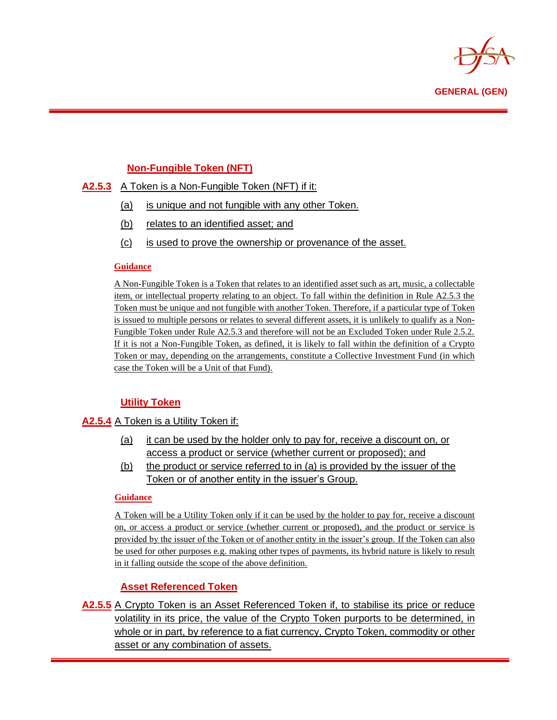

### **Non-Fungible Token (NFT)**

### **A2.5.3** A Token is a Non-Fungible Token (NFT) if it:

- (a) is unique and not fungible with any other Token.
- (b) relates to an identified asset; and
- (c) is used to prove the ownership or provenance of the asset.

### **Guidance**

A Non-Fungible Token is a Token that relates to an identified asset such as art, music, a collectable item, or intellectual property relating to an object. To fall within the definition in Rule A2.5.3 the Token must be unique and not fungible with another Token. Therefore, if a particular type of Token is issued to multiple persons or relates to several different assets, it is unlikely to qualify as a Non-Fungible Token under Rule A2.5.3 and therefore will not be an Excluded Token under Rule 2.5.2. If it is not a Non-Fungible Token, as defined, it is likely to fall within the definition of a Crypto Token or may, depending on the arrangements, constitute a Collective Investment Fund (in which case the Token will be a Unit of that Fund).

### **Utility Token**

### **A2.5.4** A Token is a Utility Token if:

- (a) it can be used by the holder only to pay for, receive a discount on, or access a product or service (whether current or proposed); and
- (b) the product or service referred to in (a) is provided by the issuer of the Token or of another entity in the issuer's Group.

### **Guidance**

A Token will be a Utility Token only if it can be used by the holder to pay for, receive a discount on, or access a product or service (whether current or proposed), and the product or service is provided by the issuer of the Token or of another entity in the issuer's group. If the Token can also be used for other purposes e.g. making other types of payments, its hybrid nature is likely to result in it falling outside the scope of the above definition.

### **Asset Referenced Token**

**A2.5.5** A Crypto Token is an Asset Referenced Token if, to stabilise its price or reduce volatility in its price, the value of the Crypto Token purports to be determined, in whole or in part, by reference to a fiat currency, Crypto Token, commodity or other asset or any combination of assets.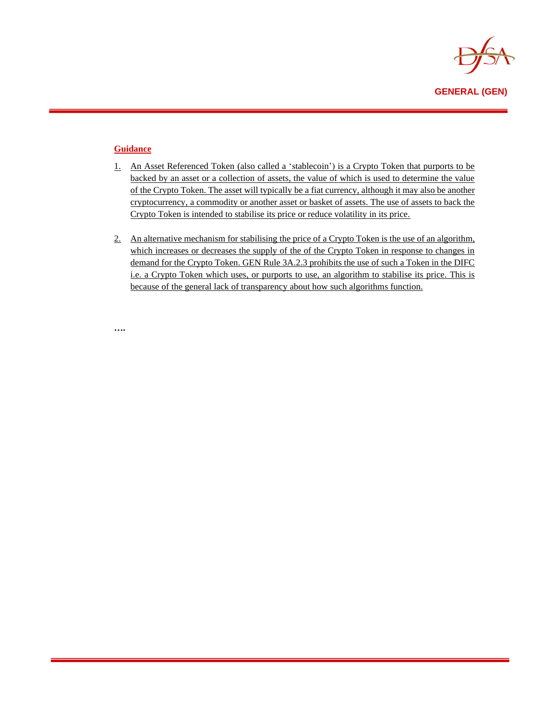

- 1. An Asset Referenced Token (also called a 'stablecoin') is a Crypto Token that purports to be backed by an asset or a collection of assets, the value of which is used to determine the value of the Crypto Token. The asset will typically be a fiat currency, although it may also be another cryptocurrency, a commodity or another asset or basket of assets. The use of assets to back the Crypto Token is intended to stabilise its price or reduce volatility in its price.
- 2. An alternative mechanism for stabilising the price of a Crypto Token is the use of an algorithm, which increases or decreases the supply of the of the Crypto Token in response to changes in demand for the Crypto Token. GEN Rule 3A.2.3 prohibits the use of such a Token in the DIFC i.e. a Crypto Token which uses, or purports to use, an algorithm to stabilise its price. This is because of the general lack of transparency about how such algorithms function.

**….**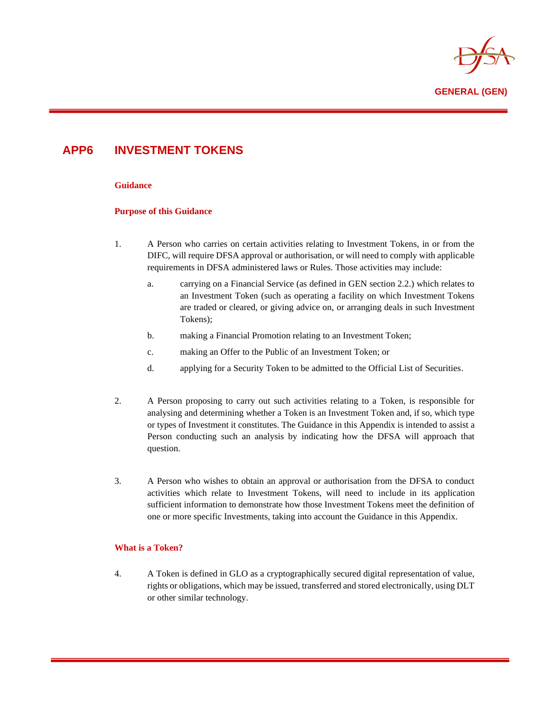

### **APP6 INVESTMENT TOKENS**

#### **Guidance**

#### **Purpose of this Guidance**

- 1. A Person who carries on certain activities relating to Investment Tokens, in or from the DIFC, will require DFSA approval or authorisation, or will need to comply with applicable requirements in DFSA administered laws or Rules. Those activities may include:
	- a. carrying on a Financial Service (as defined in GEN section 2.2.) which relates to an Investment Token (such as operating a facility on which Investment Tokens are traded or cleared, or giving advice on, or arranging deals in such Investment Tokens);
	- b. making a Financial Promotion relating to an Investment Token;
	- c. making an Offer to the Public of an Investment Token; or
	- d. applying for a Security Token to be admitted to the Official List of Securities.
- 2. A Person proposing to carry out such activities relating to a Token, is responsible for analysing and determining whether a Token is an Investment Token and, if so, which type or types of Investment it constitutes. The Guidance in this Appendix is intended to assist a Person conducting such an analysis by indicating how the DFSA will approach that question.
- 3. A Person who wishes to obtain an approval or authorisation from the DFSA to conduct activities which relate to Investment Tokens, will need to include in its application sufficient information to demonstrate how those Investment Tokens meet the definition of one or more specific Investments, taking into account the Guidance in this Appendix.

#### **What is a Token?**

4. A Token is defined in GLO as a cryptographically secured digital representation of value, rights or obligations, which may be issued, transferred and stored electronically, using DLT or other similar technology.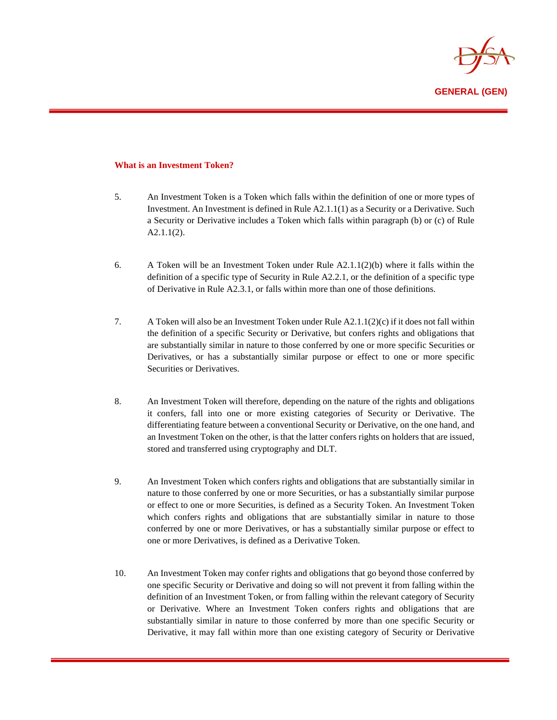

### **What is an Investment Token?**

- 5. An Investment Token is a Token which falls within the definition of one or more types of Investment. An Investment is defined in Rule A2.1.1(1) as a Security or a Derivative. Such a Security or Derivative includes a Token which falls within paragraph (b) or (c) of Rule A2.1.1(2).
- 6. A Token will be an Investment Token under Rule A2.1.1(2)(b) where it falls within the definition of a specific type of Security in Rule A2.2.1, or the definition of a specific type of Derivative in Rule A2.3.1, or falls within more than one of those definitions.
- 7. A Token will also be an Investment Token under Rule A2.1.1(2)(c) if it does not fall within the definition of a specific Security or Derivative, but confers rights and obligations that are substantially similar in nature to those conferred by one or more specific Securities or Derivatives, or has a substantially similar purpose or effect to one or more specific Securities or Derivatives.
- 8. An Investment Token will therefore, depending on the nature of the rights and obligations it confers, fall into one or more existing categories of Security or Derivative. The differentiating feature between a conventional Security or Derivative, on the one hand, and an Investment Token on the other, is that the latter confers rights on holders that are issued, stored and transferred using cryptography and DLT.
- 9. An Investment Token which confers rights and obligations that are substantially similar in nature to those conferred by one or more Securities, or has a substantially similar purpose or effect to one or more Securities, is defined as a Security Token. An Investment Token which confers rights and obligations that are substantially similar in nature to those conferred by one or more Derivatives, or has a substantially similar purpose or effect to one or more Derivatives, is defined as a Derivative Token.
- 10. An Investment Token may confer rights and obligations that go beyond those conferred by one specific Security or Derivative and doing so will not prevent it from falling within the definition of an Investment Token, or from falling within the relevant category of Security or Derivative. Where an Investment Token confers rights and obligations that are substantially similar in nature to those conferred by more than one specific Security or Derivative, it may fall within more than one existing category of Security or Derivative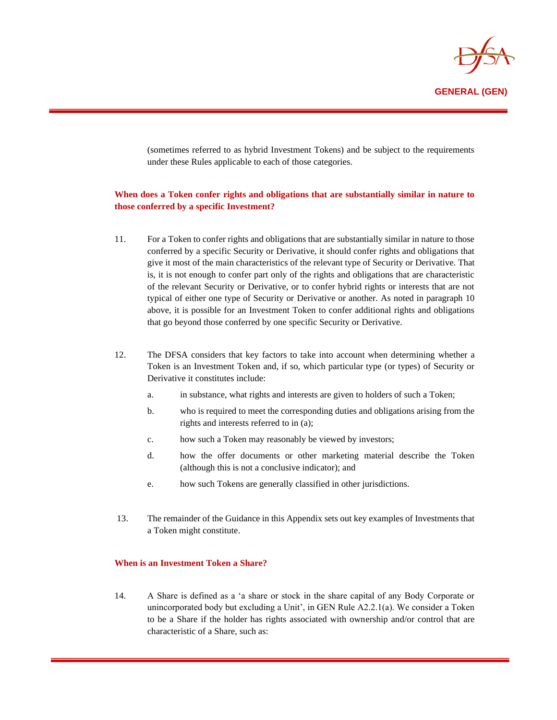

(sometimes referred to as hybrid Investment Tokens) and be subject to the requirements under these Rules applicable to each of those categories.

### **When does a Token confer rights and obligations that are substantially similar in nature to those conferred by a specific Investment?**

- 11. For a Token to confer rights and obligations that are substantially similar in nature to those conferred by a specific Security or Derivative, it should confer rights and obligations that give it most of the main characteristics of the relevant type of Security or Derivative. That is, it is not enough to confer part only of the rights and obligations that are characteristic of the relevant Security or Derivative, or to confer hybrid rights or interests that are not typical of either one type of Security or Derivative or another. As noted in paragraph 10 above, it is possible for an Investment Token to confer additional rights and obligations that go beyond those conferred by one specific Security or Derivative.
- 12. The DFSA considers that key factors to take into account when determining whether a Token is an Investment Token and, if so, which particular type (or types) of Security or Derivative it constitutes include:
	- a. in substance, what rights and interests are given to holders of such a Token;
	- b. who is required to meet the corresponding duties and obligations arising from the rights and interests referred to in (a);
	- c. how such a Token may reasonably be viewed by investors;
	- d. how the offer documents or other marketing material describe the Token (although this is not a conclusive indicator); and
	- e. how such Tokens are generally classified in other jurisdictions.
- 13. The remainder of the Guidance in this Appendix sets out key examples of Investments that a Token might constitute.

#### **When is an Investment Token a Share?**

14. A Share is defined as a 'a share or stock in the share capital of any Body Corporate or unincorporated body but excluding a Unit', in GEN Rule A2.2.1(a). We consider a Token to be a Share if the holder has rights associated with ownership and/or control that are characteristic of a Share, such as: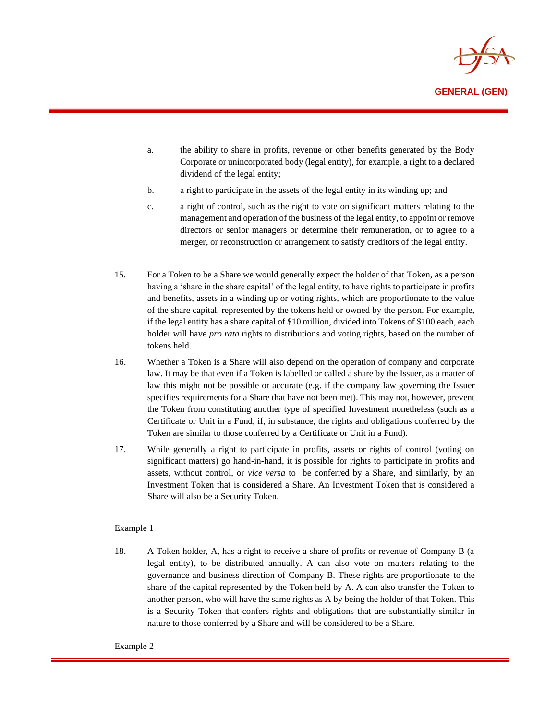

- a. the ability to share in profits, revenue or other benefits generated by the Body Corporate or unincorporated body (legal entity), for example, a right to a declared dividend of the legal entity;
- b. a right to participate in the assets of the legal entity in its winding up; and
- c. a right of control, such as the right to vote on significant matters relating to the management and operation of the business of the legal entity, to appoint or remove directors or senior managers or determine their remuneration, or to agree to a merger, or reconstruction or arrangement to satisfy creditors of the legal entity.
- 15. For a Token to be a Share we would generally expect the holder of that Token, as a person having a 'share in the share capital' of the legal entity, to have rights to participate in profits and benefits, assets in a winding up or voting rights, which are proportionate to the value of the share capital, represented by the tokens held or owned by the person. For example, if the legal entity has a share capital of \$10 million, divided into Tokens of \$100 each, each holder will have *pro rata* rights to distributions and voting rights, based on the number of tokens held.
- 16. Whether a Token is a Share will also depend on the operation of company and corporate law. It may be that even if a Token is labelled or called a share by the Issuer, as a matter of law this might not be possible or accurate (e.g. if the company law governing the Issuer specifies requirements for a Share that have not been met). This may not, however, prevent the Token from constituting another type of specified Investment nonetheless (such as a Certificate or Unit in a Fund, if, in substance, the rights and obligations conferred by the Token are similar to those conferred by a Certificate or Unit in a Fund).
- 17. While generally a right to participate in profits, assets or rights of control (voting on significant matters) go hand-in-hand, it is possible for rights to participate in profits and assets, without control, or *vice versa* to be conferred by a Share, and similarly, by an Investment Token that is considered a Share. An Investment Token that is considered a Share will also be a Security Token.

#### Example 1

18. A Token holder, A, has a right to receive a share of profits or revenue of Company B (a legal entity), to be distributed annually. A can also vote on matters relating to the governance and business direction of Company B. These rights are proportionate to the share of the capital represented by the Token held by A. A can also transfer the Token to another person, who will have the same rights as A by being the holder of that Token. This is a Security Token that confers rights and obligations that are substantially similar in nature to those conferred by a Share and will be considered to be a Share.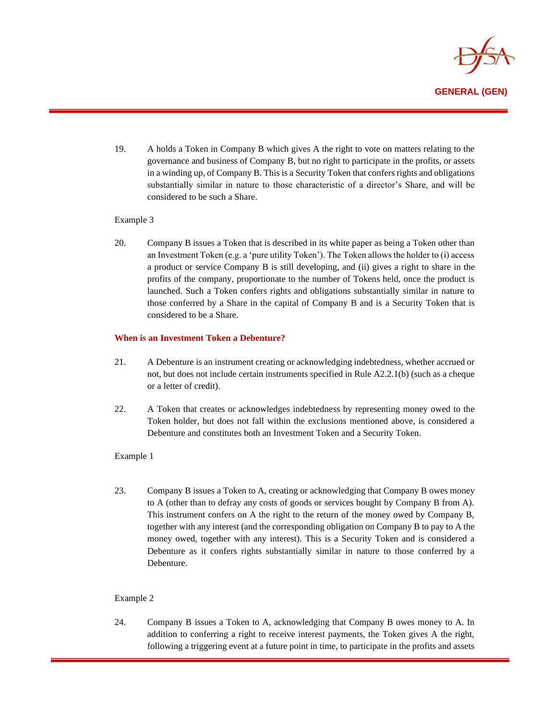

19. A holds a Token in Company B which gives A the right to vote on matters relating to the governance and business of Company B, but no right to participate in the profits, or assets in a winding up, of Company B. This is a Security Token that confers rights and obligations substantially similar in nature to those characteristic of a director's Share, and will be considered to be such a Share.

#### Example 3

20. Company B issues a Token that is described in its white paper as being a Token other than an Investment Token (e.g. a 'pure utility Token'). The Token allows the holder to (i) access a product or service Company B is still developing, and (ii) gives a right to share in the profits of the company, proportionate to the number of Tokens held, once the product is launched. Such a Token confers rights and obligations substantially similar in nature to those conferred by a Share in the capital of Company B and is a Security Token that is considered to be a Share.

### **When is an Investment Token a Debenture?**

- 21. A Debenture is an instrument creating or acknowledging indebtedness, whether accrued or not, but does not include certain instruments specified in Rule A2.2.1(b) (such as a cheque or a letter of credit).
- 22. A Token that creates or acknowledges indebtedness by representing money owed to the Token holder, but does not fall within the exclusions mentioned above, is considered a Debenture and constitutes both an Investment Token and a Security Token.

#### Example 1

23. Company B issues a Token to A, creating or acknowledging that Company B owes money to A (other than to defray any costs of goods or services bought by Company B from A). This instrument confers on A the right to the return of the money owed by Company B, together with any interest (and the corresponding obligation on Company B to pay to A the money owed, together with any interest). This is a Security Token and is considered a Debenture as it confers rights substantially similar in nature to those conferred by a Debenture.

#### Example 2

24. Company B issues a Token to A, acknowledging that Company B owes money to A. In addition to conferring a right to receive interest payments, the Token gives A the right, following a triggering event at a future point in time, to participate in the profits and assets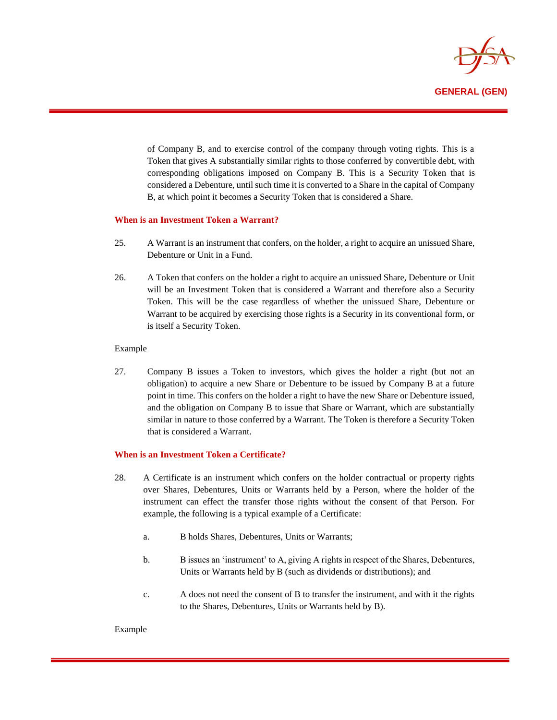

of Company B, and to exercise control of the company through voting rights. This is a Token that gives A substantially similar rights to those conferred by convertible debt, with corresponding obligations imposed on Company B. This is a Security Token that is considered a Debenture, until such time it is converted to a Share in the capital of Company B, at which point it becomes a Security Token that is considered a Share.

#### **When is an Investment Token a Warrant?**

- 25. A Warrant is an instrument that confers, on the holder, a right to acquire an unissued Share, Debenture or Unit in a Fund.
- 26. A Token that confers on the holder a right to acquire an unissued Share, Debenture or Unit will be an Investment Token that is considered a Warrant and therefore also a Security Token. This will be the case regardless of whether the unissued Share, Debenture or Warrant to be acquired by exercising those rights is a Security in its conventional form, or is itself a Security Token.

#### Example

27. Company B issues a Token to investors, which gives the holder a right (but not an obligation) to acquire a new Share or Debenture to be issued by Company B at a future point in time. This confers on the holder a right to have the new Share or Debenture issued, and the obligation on Company B to issue that Share or Warrant, which are substantially similar in nature to those conferred by a Warrant. The Token is therefore a Security Token that is considered a Warrant.

#### **When is an Investment Token a Certificate?**

- 28. A Certificate is an instrument which confers on the holder contractual or property rights over Shares, Debentures, Units or Warrants held by a Person, where the holder of the instrument can effect the transfer those rights without the consent of that Person. For example, the following is a typical example of a Certificate:
	- a. B holds Shares, Debentures, Units or Warrants;
	- b. B issues an 'instrument' to A, giving A rights in respect of the Shares, Debentures, Units or Warrants held by B (such as dividends or distributions); and
	- c. A does not need the consent of B to transfer the instrument, and with it the rights to the Shares, Debentures, Units or Warrants held by B).

Example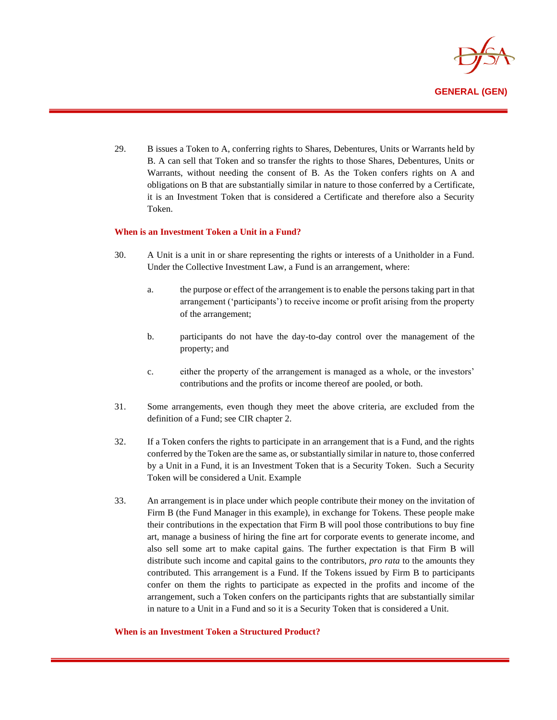

29. B issues a Token to A, conferring rights to Shares, Debentures, Units or Warrants held by B. A can sell that Token and so transfer the rights to those Shares, Debentures, Units or Warrants, without needing the consent of B. As the Token confers rights on A and obligations on B that are substantially similar in nature to those conferred by a Certificate, it is an Investment Token that is considered a Certificate and therefore also a Security Token.

#### **When is an Investment Token a Unit in a Fund?**

- 30. A Unit is a unit in or share representing the rights or interests of a Unitholder in a Fund. Under the Collective Investment Law, a Fund is an arrangement, where:
	- a. the purpose or effect of the arrangement is to enable the persons taking part in that arrangement ('participants') to receive income or profit arising from the property of the arrangement;
	- b. participants do not have the day-to-day control over the management of the property; and
	- c. either the property of the arrangement is managed as a whole, or the investors' contributions and the profits or income thereof are pooled, or both.
- 31. Some arrangements, even though they meet the above criteria, are excluded from the definition of a Fund; see CIR chapter 2.
- 32. If a Token confers the rights to participate in an arrangement that is a Fund, and the rights conferred by the Token are the same as, or substantially similar in nature to, those conferred by a Unit in a Fund, it is an Investment Token that is a Security Token. Such a Security Token will be considered a Unit. Example
- 33. An arrangement is in place under which people contribute their money on the invitation of Firm B (the Fund Manager in this example), in exchange for Tokens. These people make their contributions in the expectation that Firm B will pool those contributions to buy fine art, manage a business of hiring the fine art for corporate events to generate income, and also sell some art to make capital gains. The further expectation is that Firm B will distribute such income and capital gains to the contributors, *pro rata* to the amounts they contributed. This arrangement is a Fund. If the Tokens issued by Firm B to participants confer on them the rights to participate as expected in the profits and income of the arrangement, such a Token confers on the participants rights that are substantially similar in nature to a Unit in a Fund and so it is a Security Token that is considered a Unit.

#### **When is an Investment Token a Structured Product?**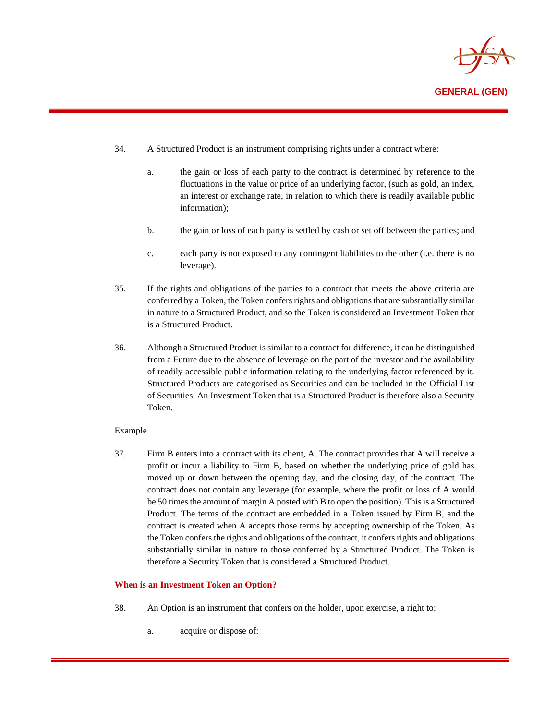

- 34. A Structured Product is an instrument comprising rights under a contract where:
	- a. the gain or loss of each party to the contract is determined by reference to the fluctuations in the value or price of an underlying factor, (such as gold, an index, an interest or exchange rate, in relation to which there is readily available public information);
	- b. the gain or loss of each party is settled by cash or set off between the parties; and
	- c. each party is not exposed to any contingent liabilities to the other (i.e. there is no leverage).
- 35. If the rights and obligations of the parties to a contract that meets the above criteria are conferred by a Token, the Token confers rights and obligations that are substantially similar in nature to a Structured Product, and so the Token is considered an Investment Token that is a Structured Product.
- 36. Although a Structured Product is similar to a contract for difference, it can be distinguished from a Future due to the absence of leverage on the part of the investor and the availability of readily accessible public information relating to the underlying factor referenced by it. Structured Products are categorised as Securities and can be included in the Official List of Securities. An Investment Token that is a Structured Product is therefore also a Security Token.

### Example

37. Firm B enters into a contract with its client, A. The contract provides that A will receive a profit or incur a liability to Firm B, based on whether the underlying price of gold has moved up or down between the opening day, and the closing day, of the contract. The contract does not contain any leverage (for example, where the profit or loss of A would be 50 times the amount of margin A posted with B to open the position). This is a Structured Product. The terms of the contract are embedded in a Token issued by Firm B, and the contract is created when A accepts those terms by accepting ownership of the Token. As the Token confers the rights and obligations of the contract, it confers rights and obligations substantially similar in nature to those conferred by a Structured Product. The Token is therefore a Security Token that is considered a Structured Product.

### **When is an Investment Token an Option?**

- 38. An Option is an instrument that confers on the holder, upon exercise, a right to:
	- a. acquire or dispose of: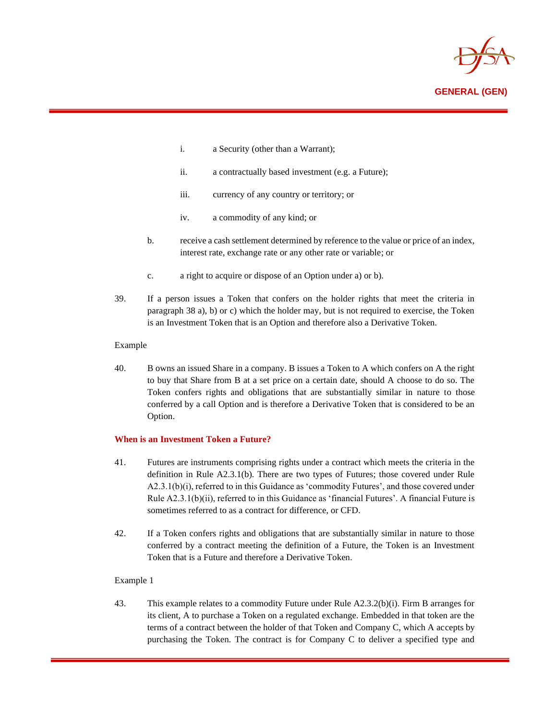

- i. a Security (other than a Warrant);
- ii. a contractually based investment (e.g. a Future);
- iii. currency of any country or territory; or
- iv. a commodity of any kind; or
- b. receive a cash settlement determined by reference to the value or price of an index, interest rate, exchange rate or any other rate or variable; or
- c. a right to acquire or dispose of an Option under a) or b).
- 39. If a person issues a Token that confers on the holder rights that meet the criteria in paragraph 38 a), b) or c) which the holder may, but is not required to exercise, the Token is an Investment Token that is an Option and therefore also a Derivative Token.

#### Example

40. B owns an issued Share in a company. B issues a Token to A which confers on A the right to buy that Share from B at a set price on a certain date, should A choose to do so. The Token confers rights and obligations that are substantially similar in nature to those conferred by a call Option and is therefore a Derivative Token that is considered to be an Option.

#### **When is an Investment Token a Future?**

- 41. Futures are instruments comprising rights under a contract which meets the criteria in the definition in Rule A2.3.1(b). There are two types of Futures; those covered under Rule  $A2.3.1(b)(i)$ , referred to in this Guidance as 'commodity Futures', and those covered under Rule A2.3.1(b)(ii), referred to in this Guidance as 'financial Futures'. A financial Future is sometimes referred to as a contract for difference, or CFD.
- 42. If a Token confers rights and obligations that are substantially similar in nature to those conferred by a contract meeting the definition of a Future, the Token is an Investment Token that is a Future and therefore a Derivative Token.

### Example 1

43. This example relates to a commodity Future under Rule A2.3.2(b)(i). Firm B arranges for its client, A to purchase a Token on a regulated exchange. Embedded in that token are the terms of a contract between the holder of that Token and Company C, which A accepts by purchasing the Token. The contract is for Company C to deliver a specified type and